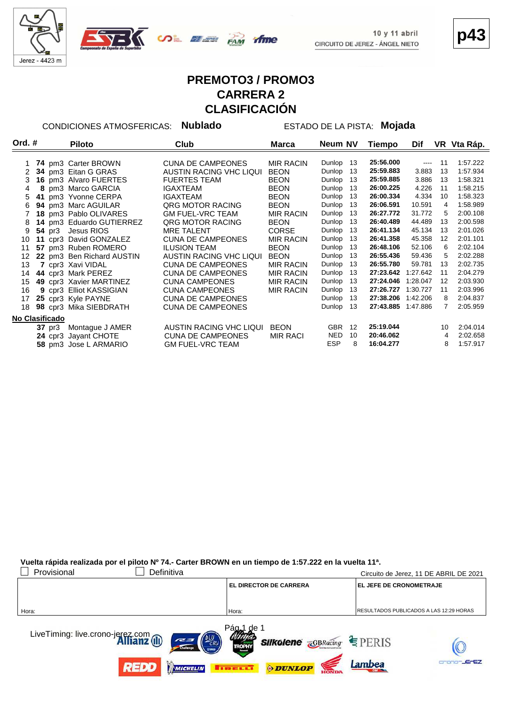



**p43**

# **PREMOTO3 / PROMO3 CARRERA 2 CLASIFICACIÓN**

CONDICIONES ATMOSFERICAS: **Nublado** ESTADO DE LA PISTA: **Mojada**

| Ord. #          |        | <b>Piloto</b>             | Club                     | Marca            | Neum NV    |    | Tiempo             | Dif      |    | VR Vta Ráp. |
|-----------------|--------|---------------------------|--------------------------|------------------|------------|----|--------------------|----------|----|-------------|
|                 |        |                           |                          |                  |            |    |                    |          |    |             |
|                 |        | 74 pm3 Carter BROWN       | <b>CUNA DE CAMPEONES</b> | <b>MIR RACIN</b> | Dunlop     | 13 | 25:56.000          | $\cdots$ | 11 | 1:57.222    |
| 2               |        | 34 pm3 Eitan G GRAS       | AUSTIN RACING VHC LIQUI  | <b>BEON</b>      | Dunlop     | 13 | 25:59.883          | 3.883    | 13 | 1:57.934    |
| 3               |        | 16 pm3 Alvaro FUERTES     | <b>FUERTES TEAM</b>      | <b>BEON</b>      | Dunlop     | 13 | 25:59.885          | 3.886    | 13 | 1:58.321    |
| 4               |        | 8 pm3 Marco GARCIA        | IGAXTEAM                 | <b>BEON</b>      | Dunlop     | 13 | 26:00.225          | 4.226    | 11 | 1:58.215    |
| 5               |        | 41 pm3 Yvonne CERPA       | <b>IGAXTEAM</b>          | <b>BEON</b>      | Dunlop     | 13 | 26:00.334          | 4.334    | 10 | 1:58.323    |
| 6               |        | 94 pm3 Marc AGUILAR       | <b>QRG MOTOR RACING</b>  | <b>BEON</b>      | Dunlop     | 13 | 26:06.591          | 10.591   | 4  | 1:58.989    |
|                 |        | 18 pm3 Pablo OLIVARES     | <b>GM FUEL-VRC TEAM</b>  | MIR RACIN        | Dunlop     | 13 | 26:27.772          | 31.772   | 5  | 2:00.108    |
| 8               |        | 14 pm3 Eduardo GUTIERREZ  | <b>QRG MOTOR RACING</b>  | <b>BEON</b>      | Dunlop     | 13 | 26:40.489          | 44.489   | 13 | 2:00.598    |
| 9               |        | 54 pr3 Jesus RIOS         | <b>MRE TALENT</b>        | <b>CORSE</b>     | Dunlop     | 13 | 26:41.134          | 45.134   | 13 | 2:01.026    |
| 10              |        | 11 cpr3 David GONZALEZ    | <b>CUNA DE CAMPEONES</b> | <b>MIR RACIN</b> | Dunlop     | 13 | 26:41.358          | 45.358   | 12 | 2:01.101    |
| 11              |        | 57 pm3 Ruben ROMERO       | <b>ILUSION TEAM</b>      | <b>BEON</b>      | Dunlop     | 13 | 26:48.106          | 52.106   | 6  | 2:02.104    |
| 12 <sup>2</sup> |        | 22 pm3 Ben Richard AUSTIN | AUSTIN RACING VHC LIQUI  | <b>BEON</b>      | Dunlop     | 13 | 26:55.436          | 59.436   | 5  | 2:02.288    |
| 13              |        | 7 cpr3 Xavi VIDAL         | <b>CUNA DE CAMPEONES</b> | <b>MIR RACIN</b> | Dunlop     | 13 | 26:55.780          | 59.781   | 13 | 2:02.735    |
| 14              |        | 44 cpr3 Mark PEREZ        | <b>CUNA DE CAMPEONES</b> | <b>MIR RACIN</b> | Dunlop     | 13 | 27:23.642          | 1:27.642 | 11 | 2:04.279    |
| 15              |        | 49 cpr3 Xavier MARTINEZ   | <b>CUNA CAMPEONES</b>    | <b>MIR RACIN</b> | Dunlop     | 13 | 27:24.046          | 1:28.047 | 12 | 2:03.930    |
| 16              |        | 9 cpr3 Elliot KASSIGIAN   | <b>CUNA CAMPEONES</b>    | MIR RACIN        | Dunlop     | 13 | 27:26.727          | 1:30.727 | 11 | 2:03.996    |
| 17              |        | 25 cpr3 Kyle PAYNE        | <b>CUNA DE CAMPEONES</b> |                  | Dunlop     | 13 | 27:38.206 1:42.206 |          | 8  | 2:04.837    |
| 18              |        | 98 cpr3 Mika SIEBDRATH    | <b>CUNA DE CAMPEONES</b> |                  | Dunlop     | 13 | 27:43.885 1:47.886 |          | 7  | 2:05.959    |
| No Clasificado  |        |                           |                          |                  |            |    |                    |          |    |             |
|                 | 37 pr3 | Montague J AMER           | AUSTIN RACING VHC LIQUI  | <b>BEON</b>      | <b>GBR</b> | 12 | 25:19.044          |          | 10 | 2:04.014    |
|                 |        | 24 cpr3 Jayant CHOTE      | <b>CUNA DE CAMPEONES</b> | MIR RACI         | <b>NED</b> | 10 | 20:46.062          |          | 4  | 2:02.658    |
|                 |        | 58 pm3 Jose L ARMARIO     | <b>GM FUEL-VRC TEAM</b>  |                  | <b>ESP</b> | 8  | 16:04.277          |          | 8  | 1:57.917    |

**Vuelta rápida realizada por el piloto Nº 74.- Carter BROWN en un tiempo de 1:57.222 en la vuelta 11ª.**

| Provisional<br>Definitiva                                                   |                                                                     | Circuito de Jerez, 11 DE ABRIL DE 2021          |
|-----------------------------------------------------------------------------|---------------------------------------------------------------------|-------------------------------------------------|
|                                                                             | <b>EL DIRECTOR DE CARRERA</b>                                       | <b>EL JEFE DE CRONOMETRAJE</b>                  |
|                                                                             |                                                                     |                                                 |
| Hora:                                                                       | Hora:                                                               | <b>IRESULTADOS PUBLICADOS A LAS 12:29 HORAS</b> |
| LiveTiming: live.crono-jerez.com<br><b>Allianz</b> (II)<br><b>RED (BLU)</b> | Pág <sub>a</sub> de 1<br><b>Silkolene GBRacing</b><br><b>TROPHY</b> | $E$ PERIS                                       |
| <b>REDD</b><br>MICHELIN                                                     | <b>ODUNLOP</b><br><b>THE EXET</b>                                   | <b>JEFEZ</b><br>Lambea                          |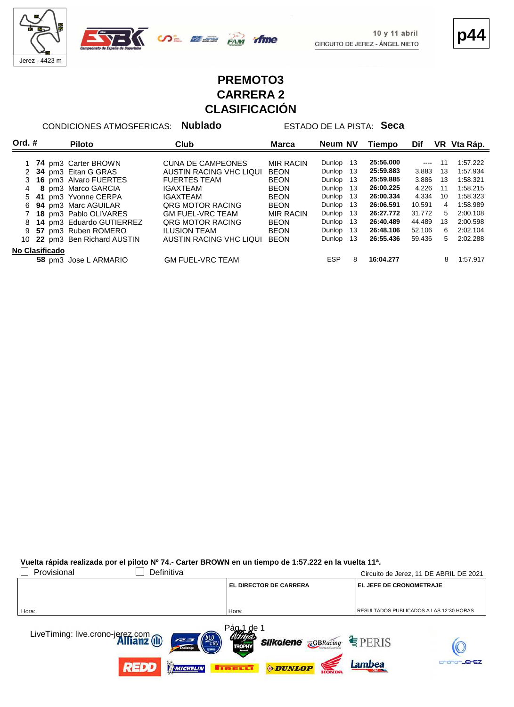



**p44**

## **PREMOTO3 CARRERA 2 CLASIFICACIÓN**

time

CONDICIONES ATMOSFERICAS: **Nublado** ESTADO DE LA PISTA: **Seca**

| Ord. $#$              |  | <b>Piloto</b>             | Club                     | <b>Marca</b>     | Neum NV         | Tiempo    | Dif      | VR I | Vta Ráp. |
|-----------------------|--|---------------------------|--------------------------|------------------|-----------------|-----------|----------|------|----------|
|                       |  |                           |                          |                  |                 |           |          |      |          |
|                       |  | 74 pm3 Carter BROWN       | <b>CUNA DE CAMPEONES</b> | <b>MIR RACIN</b> | Dunlop<br>-13   | 25:56.000 | $\cdots$ | 11   | 1:57.222 |
|                       |  | 34 pm3 Eitan G GRAS       | AUSTIN RACING VHC LIQUI  | BEON             | 13<br>Dunlop    | 25:59.883 | 3.883    | 13   | 1:57.934 |
|                       |  | 3 16 pm3 Alvaro FUERTES   | <b>FUERTES TEAM</b>      | <b>BEON</b>      | -13<br>Dunlop   | 25:59.885 | 3.886    | 13   | 1:58.321 |
|                       |  | 8 pm3 Marco GARCIA        | IGAXTEAM                 | <b>BEON</b>      | 13<br>Dunlop    | 26:00.225 | 4.226    | 11   | 1:58.215 |
|                       |  | 5 41 pm3 Yvonne CERPA     | IGAXTEAM                 | <b>BEON</b>      | -13<br>Dunlop   | 26:00.334 | 4.334    | 10   | 1:58.323 |
| 6                     |  | 94 pm3 Marc AGUILAR       | ORG MOTOR RACING         | <b>BEON</b>      | 13<br>Dunlop    | 26:06.591 | 10.591   | 4    | 1:58.989 |
|                       |  | 7 18 pm3 Pablo OLIVARES   | <b>GM FUEL-VRC TEAM</b>  | <b>MIR RACIN</b> | 13<br>Dunlop    | 26:27.772 | 31.772   | 5    | 2:00.108 |
| 8                     |  | 14 pm3 Eduardo GUTIERREZ  | <b>QRG MOTOR RACING</b>  | <b>BEON</b>      | 13<br>Dunlop    | 26:40.489 | 44.489   | 13   | 2:00.598 |
| 9                     |  | 57 pm3 Ruben ROMERO       | <b>ILUSION TEAM</b>      | <b>BEON</b>      | -13<br>Dunlop   | 26:48.106 | 52.106   | 6    | 2:02.104 |
| 10.                   |  | 22 pm3 Ben Richard AUSTIN | AUSTIN RACING VHC LIQUI  | BEON             | 13<br>Dunlop    | 26:55.436 | 59.436   | 5    | 2:02.288 |
| <b>No Clasificado</b> |  |                           |                          |                  |                 |           |          |      |          |
|                       |  | 58 pm3 Jose L ARMARIO     | <b>GM FUEL-VRC TEAM</b>  |                  | <b>ESP</b><br>8 | 16:04.277 |          | 8    | 1:57.917 |

**Vuelta rápida realizada por el piloto Nº 74.- Carter BROWN en un tiempo de 1:57.222 en la vuelta 11ª.**

| Provisional<br>Definitiva                                                                        |                                                                                                                                             | Circuito de Jerez, 11 DE ABRIL DE 2021         |
|--------------------------------------------------------------------------------------------------|---------------------------------------------------------------------------------------------------------------------------------------------|------------------------------------------------|
|                                                                                                  | <b>EL DIRECTOR DE CARRERA</b>                                                                                                               | <b>EL JEFE DE CRONOMETRAJE</b>                 |
|                                                                                                  |                                                                                                                                             |                                                |
| Hora:                                                                                            | Hora:                                                                                                                                       | <b>RESULTADOS PUBLICADOS A LAS 12:30 HORAS</b> |
| LiveTiming: live.crono-jerez.com<br><b>Allianz</b> (II)<br>ERU<br>727<br><b>REDD</b><br>MICHELIN | Págal<br>de 1<br><b>Silkolene <i><u>GBRacing</u> SILKOlene ZGBRacing SILKOLENE</i></b><br><b>TROPHY</b><br><b>ODUNLOP</b><br><b>TIRELLI</b> | arano-JErEZ<br>Lambea                          |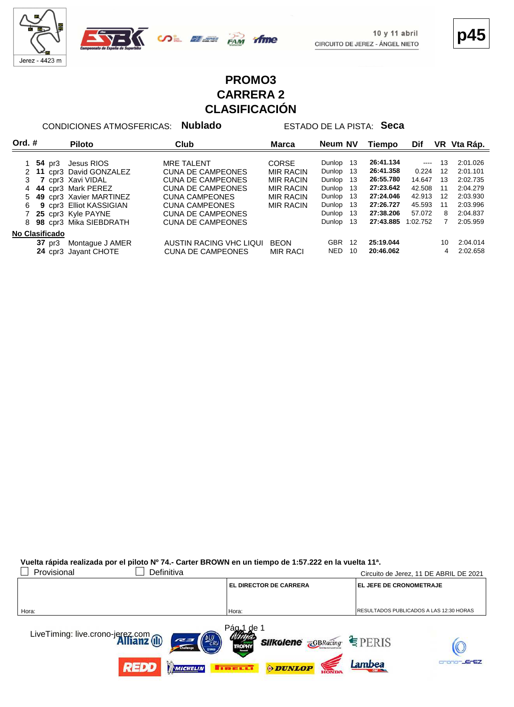



**p45**

## **PROMO3 CARRERA 2 CLASIFICACIÓN**

ifme

CONDICIONES ATMOSFERICAS: **Nublado** ESTADO DE LA PISTA: **Seca**

| Ord. $#$       |                  | <b>Piloto</b>           | Club                     | <b>Marca</b>     | Neum NV    |    | Tiempo    | Dif      | VR. | Vta Ráp. |
|----------------|------------------|-------------------------|--------------------------|------------------|------------|----|-----------|----------|-----|----------|
|                | <b>54</b> pr3    | Jesus RIOS              | <b>MRE TALENT</b>        | <b>CORSE</b>     | Dunlop     | 13 | 26:41.134 | $\cdots$ | 13  | 2:01.026 |
|                |                  | 11 cpr3 David GONZALEZ  | <b>CUNA DE CAMPEONES</b> | <b>MIR RACIN</b> | Dunlop     | 13 | 26:41.358 | 0.224    | 12  | 2:01.101 |
|                |                  | cpr3 Xavi VIDAL         | <b>CUNA DE CAMPEONES</b> | <b>MIR RACIN</b> | Dunlop     | 13 | 26:55.780 | 14.647   | 13  | 2:02.735 |
|                |                  | 44 cpr3 Mark PEREZ      | <b>CUNA DE CAMPEONES</b> | <b>MIR RACIN</b> | Dunlop     | 13 | 27:23.642 | 42.508   | 11  | 2:04.279 |
| 5.             |                  | 49 cpr3 Xavier MARTINEZ | <b>CUNA CAMPEONES</b>    | <b>MIR RACIN</b> | Dunlop     | 13 | 27:24.046 | 42.913   | 12  | 2:03.930 |
| 6              |                  | 9 cpr3 Elliot KASSIGIAN | <b>CUNA CAMPEONES</b>    | <b>MIR RACIN</b> | Dunlop     | 13 | 27:26.727 | 45.593   | 11  | 2:03.996 |
|                |                  | 25 cpr3 Kyle PAYNE      | <b>CUNA DE CAMPEONES</b> |                  | Dunlop     | 13 | 27:38.206 | 57.072   | 8   | 2:04.837 |
| 8              |                  | 98 cpr3 Mika SIEBDRATH  | <b>CUNA DE CAMPEONES</b> |                  | Dunlop     | 13 | 27:43.885 | 1:02.752 |     | 2:05.959 |
| No Clasificado |                  |                         |                          |                  |            |    |           |          |     |          |
|                | $37 \text{ pr}3$ | Montaque J AMER         | AUSTIN RACING VHC LIQUI  | <b>BEON</b>      | <b>GBR</b> | 12 | 25:19.044 |          | 10  | 2:04.014 |
|                |                  | 24 cpr3 Jayant CHOTE    | <b>CUNA DE CAMPEONES</b> | <b>MIR RACI</b>  | <b>NED</b> | 10 | 20:46.062 |          | 4   | 2:02.658 |

**Vuelta rápida realizada por el piloto Nº 74.- Carter BROWN en un tiempo de 1:57.222 en la vuelta 11ª.**

| Provisional<br>Definitiva                                             |                                                                            | Circuito de Jerez, 11 DE ABRIL DE 2021  |
|-----------------------------------------------------------------------|----------------------------------------------------------------------------|-----------------------------------------|
|                                                                       | <b>EL DIRECTOR DE CARRERA</b>                                              | <b>EL JEFE DE CRONOMETRAJE</b>          |
|                                                                       |                                                                            |                                         |
| Hora:                                                                 | Hora:                                                                      | RESULTADOS PUBLICADOS A LAS 12:30 HORAS |
| LiveTiming: live.crono-jerez.com<br><b>Allianz</b> (II)<br>ERU<br>727 | Págal<br>de 1<br><b>Silkolene <i><u></u></i></b> GBRacing<br><b>TROPHY</b> | $E$ PERIS                               |
| 77700<br>MICHELIN                                                     | <b>ODUNLOP</b><br>$\mathbf{1}$ , $\mathbf{1}$ , $\mathbf{1}$               | <b>JEFEZ</b><br>Lambea                  |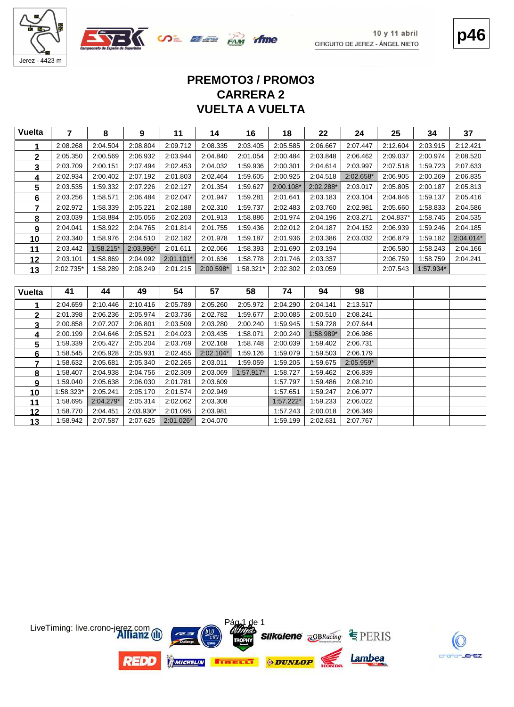



**p46**

# **VUELTA A VUELTA CARRERA 2 PREMOTO3 / PROMO3**

| <b>Vuelta</b>   | $\overline{7}$ | 8         | 9         | 11          | 14        | 16        | 18        | 22        | 24        | 25        | 34        | 37        |
|-----------------|----------------|-----------|-----------|-------------|-----------|-----------|-----------|-----------|-----------|-----------|-----------|-----------|
| 1               | 2:08.268       | 2:04.504  | 2:08.804  | 2:09.712    | 2:08.335  | 2:03.405  | 2:05.585  | 2:06.667  | 2:07.447  | 2:12.604  | 2:03.915  | 2:12.421  |
| $\mathbf 2$     | 2:05.350       | 2:00.569  | 2:06.932  | 2:03.944    | 2:04.840  | 2:01.054  | 2:00.484  | 2:03.848  | 2:06.462  | 2:09.037  | 2:00.974  | 2:08.520  |
| 3               | 2:03.709       | 2:00.151  | 2:07.494  | 2:02.453    | 2:04.032  | 1:59.936  | 2:00.301  | 2:04.614  | 2:03.997  | 2:07.518  | 1:59.723  | 2:07.633  |
| 4               | 2:02.934       | 2:00.402  | 2:07.192  | 2:01.803    | 2:02.464  | 1:59.605  | 2:00.925  | 2:04.518  | 2:02.658* | 2:06.905  | 2:00.269  | 2:06.835  |
| $5\phantom{.0}$ | 2:03.535       | 1:59.332  | 2:07.226  | 2:02.127    | 2:01.354  | 1:59.627  | 2:00.108* | 2:02.288* | 2:03.017  | 2:05.805  | 2:00.187  | 2:05.813  |
| 6               | 2:03.256       | 1:58.571  | 2:06.484  | 2:02.047    | 2:01.947  | 1:59.281  | 2:01.641  | 2:03.183  | 2:03.104  | 2:04.846  | 1:59.137  | 2:05.416  |
| 7               | 2:02.972       | 1:58.339  | 2:05.221  | 2:02.188    | 2:02.310  | 1:59.737  | 2:02.483  | 2:03.760  | 2:02.981  | 2:05.660  | 1:58.833  | 2:04.586  |
| 8               | 2:03.039       | 1:58.884  | 2:05.056  | 2:02.203    | 2:01.913  | 1:58.886  | 2:01.974  | 2:04.196  | 2:03.271  | 2:04.837* | 1:58.745  | 2:04.535  |
| 9               | 2:04.041       | 1:58.922  | 2:04.765  | 2:01.814    | 2:01.755  | 1:59.436  | 2:02.012  | 2:04.187  | 2:04.152  | 2:06.939  | 1:59.246  | 2:04.185  |
| 10              | 2:03.340       | 1:58.976  | 2:04.510  | 2:02.182    | 2:01.978  | 1:59.187  | 2:01.936  | 2:03.386  | 2:03.032  | 2:06.879  | 1:59.182  | 2:04.014* |
| 11              | 2:03.442       | 1:58.215* | 2:03.996* | 2:01.611    | 2:02.066  | 1:58.393  | 2:01.690  | 2:03.194  |           | 2:06.580  | 1:58.243  | 2:04.166  |
| 12              | 2:03.101       | 1:58.869  | 2:04.092  | $2:01.101*$ | 2:01.636  | 1:58.778  | 2:01.746  | 2:03.337  |           | 2:06.759  | 1:58.759  | 2:04.241  |
| 13              | 2:02.735*      | 1:58.289  | 2:08.249  | 2:01.215    | 2:00.598* | 1:58.321* | 2:02.302  | 2:03.059  |           | 2:07.543  | 1:57.934* |           |
|                 |                |           |           |             |           |           |           |           |           |           |           |           |
|                 |                |           |           |             |           |           |           |           |           |           |           |           |
| <b>Vuelta</b>   | 41             | 44        | 49        | 54          | 57        | 58        | 74        | 94        | 98        |           |           |           |
| 1               | 2:04.659       | 2:10.446  | 2:10.416  | 2:05.789    | 2:05.260  | 2:05.972  | 2:04.290  | 2:04.141  | 2:13.517  |           |           |           |
| $\mathbf{2}$    | 2:01.398       | 2:06.236  | 2:05.974  | 2:03.736    | 2:02.782  | 1:59.677  | 2:00.085  | 2:00.510  | 2:08.241  |           |           |           |
| 3               | 2:00.858       | 2:07.207  | 2:06.801  | 2:03.509    | 2:03.280  | 2:00.240  | 1:59.945  | 1:59.728  | 2:07.644  |           |           |           |
| 4               | 2:00.199       | 2:04.646  | 2:05.521  | 2:04.023    | 2:03.435  | 1:58.071  | 2:00.240  | 1:58.989* | 2:06.986  |           |           |           |
| 5               | 1:59.339       | 2:05.427  | 2:05.204  | 2:03.769    | 2:02.168  | 1:58.748  | 2:00.039  | 1:59.402  | 2:06.731  |           |           |           |
| 6               | 1:58.545       | 2:05.928  | 2:05.931  | 2:02.455    | 2:02.104* | 1:59.126  | 1:59.079  | 1:59.503  | 2:06.179  |           |           |           |
| 7               | 1:58.632       | 2:05.681  | 2:05.340  | 2:02.265    | 2:03.011  | 1:59.059  | 1:59.205  | 1:59.675  | 2:05.959* |           |           |           |
| 8               | 1:58.407       | 2:04.938  | 2:04.756  | 2:02.309    | 2:03.069  | 1:57.917* | 1:58.727  | 1:59.462  | 2:06.839  |           |           |           |
| 9               | 1:59.040       | 2:05.638  | 2:06.030  | 2:01.781    | 2:03.609  |           | 1:57.797  | 1:59.486  | 2:08.210  |           |           |           |
| 10              | 1:58.323*      | 2:05.241  | 2:05.170  | 2:01.574    | 2:02.949  |           | 1:57.651  | 1:59.247  | 2:06.977  |           |           |           |
| 11              | 1:58.695       | 2:04.279* | 2:05.314  | 2:02.062    | 2:03.308  |           | 1:57.222* | 1:59.233  | 2:06.022  |           |           |           |
| 12              | 1:58.770       | 2:04.451  | 2:03.930* | 2:01.095    | 2:03.981  |           | 1:57.243  | 2:00.018  | 2:06.349  |           |           |           |

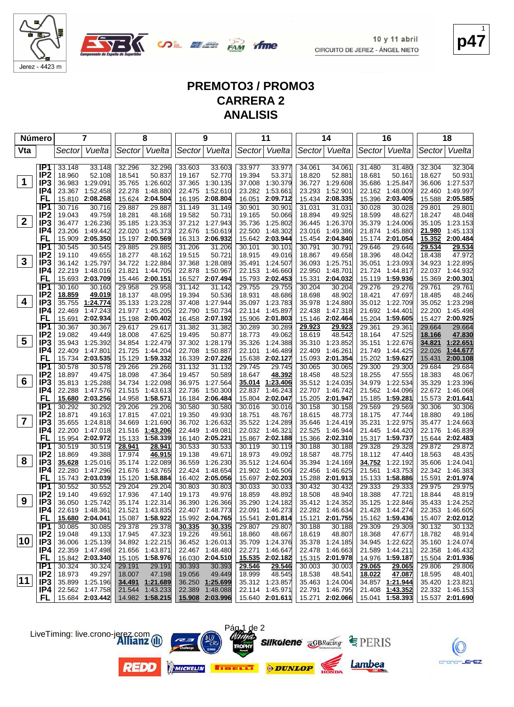

**OLEE PAM** 

**p47** 1

# **PREMOTO3 / PROMO3 CARRERA 2 ANALISIS**

| Número         |                                    |                  | 7                                  |                  | 8                           |                  | 9                                  |                  | 11                                                |                  | 14                        |                         | 16                                 |                  | 18                        |
|----------------|------------------------------------|------------------|------------------------------------|------------------|-----------------------------|------------------|------------------------------------|------------------|---------------------------------------------------|------------------|---------------------------|-------------------------|------------------------------------|------------------|---------------------------|
| Vta            |                                    | Sector           | Vuelta                             |                  | Sector Vuelta               |                  | Sector Vuelta                      |                  | Sector Vuelta                                     |                  | Sector Vuelta             | Sector                  | Vuelta                             | Sector           | Vuelta                    |
|                |                                    |                  |                                    |                  |                             |                  |                                    |                  |                                                   |                  |                           |                         |                                    |                  |                           |
|                | IP1                                | 33.148           | 33.148                             | 32.296           | 32.296                      | 33.603           | 33.603                             | 33.977           | 33.977                                            | 34.061           | 34.061                    | 31.480                  | 31.480                             | 32.304           | 32.304                    |
|                | IP <sub>2</sub>                    | 18.960           | 52.108                             | 18.541           | 50.837                      | 19.167           | 52.770                             | 19.394           | 53.371                                            | 18.820           | 52.881                    | 18.681                  | 50.161                             | 18.627           | 50.931                    |
| $\mathbf 1$    | IP <sub>3</sub>                    | 36.983           | 1:29.091                           | 35.765           | 1:26.602                    |                  | 37.365 1:30.135                    | 37.008           | 1:30.379                                          | 36.727           | 1:29.608                  | 35.686                  | 1:25.847                           | 36.606           | 1:27.537                  |
|                | IP4                                | 23.367           | 1:52.458                           | 22.278           | 1:48.880                    | 22.475           | 1:52.610                           | 23.282           | 1:53.661                                          | 23.293           | 1:52.901                  | 22.162                  | 1:48.009                           | 22.460           | 1:49.997                  |
|                | FL                                 |                  | 15.810 2:08.268                    | 15.624           | 2:04.504                    | 16.195           | 2:08.804                           | 16.051           | 2:09.712                                          | 15.434           | 2:08.335                  | 15.396                  | 2:03.405                           | 15.588           | 2:05.585                  |
|                | IP <sub>1</sub><br>IP <sub>2</sub> | 30.716<br>19.043 | 30.716<br>49.759                   | 29.887<br>18.281 | 29.887<br>48.168            | 31.149<br>19.582 | 31.149<br>50.731                   | 30.901           | 30.901<br>50.066                                  | 31.031<br>18.894 | 31.031<br>49.925          | 30.028<br>18.599        | 30.028<br>48.627                   | 29.801<br>18.247 | 29.801<br>48.048          |
| $\mathbf{2}$   | IP <sub>3</sub>                    |                  | 36.477 1:26.236                    |                  | 35.185 1:23.353             |                  | 37.212 1:27.943                    | 19.165<br>35.736 | 1:25.802                                          | 36.445           | 1:26.370                  | 35.379                  | 1:24.006                           | 35.105           | 1:23.153                  |
|                | IP4                                | 23.206           | 1:49.442                           |                  | 22.020 1:45.373             | 22.676           | 1:50.619                           | 22.500           | 1:48.302                                          | 23.016           | 1:49.386                  | 21.874                  | 1:45.880                           | 21.980           | 1:45.133                  |
|                | FL                                 | 15.909           | 2:05.350                           |                  | 15.197 2:00.569             | 16.313           | 2:06.932                           | 15.642           | 2:03.944                                          | 15.454           | 2:04.840                  | 15.174                  | 2:01.054                           | 15.352           | 2:00.484                  |
|                | IP1                                | 30.545           | 30.545                             | 29.885           | 29.885                      | 31.206           | 31.206                             | 30.101           | 30.101                                            | 30.791           | 30.791                    | 29.646                  | 29.646                             | 29.534           | 29.534                    |
|                | IP <sub>2</sub>                    | 19.110           | 49.655                             | 18.277           | 48.162                      | 19.515           | 50.721                             | 18.915           | 49.016                                            | 18.867           | 49.658                    | 18.396                  | 48.042                             | 18.438           | 47.972                    |
| $\mathbf{3}$   | IP3                                |                  | 36.142 1:25.797                    |                  | 34.722 1:22.884             | 37.368           | 1:28.089                           | 35.491           | 1:24.507                                          | 36.093           | 1:25.751                  | 35.051                  | 1:23.093                           | 34.923           | 1:22.895                  |
|                | IP4                                | 22.219           | 1:48.016                           | 21.821           | 1:44.705                    | 22.878           | 1:50.967                           | 22.153           | 1:46.660                                          | 22.950           | 1:48.701                  | 21.724                  | 1:44.817                           | 22.037           | 1:44.932                  |
|                | FL                                 |                  | 15.693 2:03.709                    |                  | 15.446 2:00.151             | 16.527           | 2:07.494                           | 15.793           | 2:02.453                                          | 15.331           | 2:04.032                  | 15.119                  | 1:59.936                           |                  | 15.369 2:00.301           |
|                | TP <sub>1</sub>                    | 30.160           | 30.160                             | 29.958           | 29.958                      | 31.142           | 31.142                             | 29.755           | 29.755                                            | 30.204           | 30.204                    | 29.276                  | 29.276                             | 29.761           | 29.761                    |
|                | IP <sub>2</sub>                    | 18.859           | 49.019                             | 18.137           | 48.095                      | 19.394           | 50.536                             | 18.931           | 48.686                                            | 18.698           | 48.902                    | 18.421                  | 47.697                             | 18.485           | 48.246                    |
| 4              | IP <sub>3</sub>                    | 35.755           | 1:24.774                           | 35.133           | 1:23.228                    |                  | 37.408 1:27.944                    | 35.097           | 1:23.783                                          | 35.978           | 1:24.880                  |                         | 35.012 1:22.709                    |                  | 35.052 1:23.298           |
|                | IP4                                | 22.469           | 1:47.243                           |                  | 21.977 1:45.205             | 22.790           | 1:50.734                           | 22.114           | 1:45.897                                          | 22.438           | 1:47.318                  | 21.692                  | 1:44.401                           | 22.200           | 1:45.498                  |
|                | FL                                 | 15.691           | 2:02.934                           |                  | 15.198 2:00.402             | 16.458           | 2:07.192                           | 15.906           | 2:01.803                                          |                  | 15.146 2:02.464           | 15.204                  | 1:59.605                           |                  | 15.427 2:00.925           |
|                | IP1                                | 30.367           | 30.367                             | 29.617           | 29.617                      | 31.382           | 31.382                             | 30.289           | 30.289                                            | 29.923           | 29.923                    | 29.361                  | 29.361                             | 29.664           | 29.664                    |
| 5              | IP <sub>2</sub>                    | 19.082           | 49.449                             | 18.008           | 47.625                      | 19.495           | 50.877                             | 18.773           | 49.062                                            | 18.619           | 48.542                    | 18.164                  | 47.525                             | 18.166<br>34.821 | 47.830<br>1:22.651        |
|                | IP <sub>3</sub><br>IP4             | 35.943<br>22.409 | 1:25.392<br>1:47.801               | 21.725           | 34.854 1:22.479<br>1:44.204 | 22.708           | 37.302 1:28.179<br>1:50.887        | 35.326<br>22.101 | 1:24.388<br>1:46.489                              | 35.310<br>22.409 | 1:23.852<br>1:46.261      | 35.151<br>21.749        | 1:22.676<br>1:44.425               | 22.026           | 1:44.677                  |
|                | FL                                 | 15.734           | 2:03.535                           | 15.129           | 1:59.332                    | 16.339           | 2:07.226                           | 15.638           | 2:02.127                                          | 15.093           | 2:01.354                  | 15.202                  | 1:59.627                           | 15.431           | 2:00.108                  |
|                | IP <sub>1</sub>                    | 30.578           | 30.578                             | 29.266           | 29.266                      | 31.132           | 31.132                             | 29.745           | 29.745                                            | 30.065           | 30.065                    | 29.300                  | 29.300                             | 29.684           | 29.684                    |
|                | IP <sub>2</sub>                    | 18.897           | 49.475                             | 18.098           | 47.364                      | 19.457           | 50.589                             | 18.647           | 48.392                                            | 18.458           | 48.523                    | 18.255                  | 47.555                             | 18.383           | 48.067                    |
| 6              | IP <sub>3</sub>                    | 35.813           | 1:25.288                           | 34.734           | 1:22.098                    | 36.975           | 1:27.564                           | 35.014           | 1:23.406                                          |                  | 35.512 1:24.035           | 34.979                  | 1:22.534                           | 35.329           | 1:23.396                  |
|                | IP4                                | 22.288           | 1:47.576                           | 21.515           | 1:43.613                    | 22.736           | 1:50.300                           | 22.837           | 1:46.243                                          | 22.707           | 1:46.742                  | 21.562                  | 1:44.096                           |                  | 22.672 1:46.068           |
|                | FL                                 |                  | 15.680 2:03.256                    |                  | 14.958 1:58.571             |                  | 16.184 2:06.484                    | 15.804           | 2:02.047                                          | 15.205           | 2:01.947                  | 15.185                  | 1:59.281                           |                  | 15.573 2:01.641           |
|                | IP1                                | 30.292           | 30.292                             | 29.206           | 29.206                      | 30.580           | 30.580                             | 30.016           | 30.016                                            | 30.158           | 30.158                    | 29.569                  | 29.569                             | 30.306           | 30.306                    |
|                | IP <sub>2</sub>                    | 18.871           | 49.163                             | 17.815           | 47.021                      | 19.350           | 49.930                             | 18.751           | 48.767                                            | 18.615           | 48.773                    | 18.175                  | 47.744                             | 18.880           | 49.186                    |
| $\overline{7}$ | IP <sub>3</sub>                    | 35.655           | 1:24.818                           | 34.669           | 1:21.690                    | 36.702           | 1:26.632                           | 35.522           | 1:24.289                                          | 35.646           | 1:24.419                  | 35.231                  | 1:22.975                           | 35.477           | 1:24.663                  |
|                | IP4                                | 22.200           | 1:47.018                           |                  | 21.516 1:43.206             | 22.449           | 1:49.081                           | 22.032           | 1:46.321                                          | 22.525           | 1:46.944                  | 21.445                  | 1:44.420                           | 22.176           | 1:46.839                  |
|                | FL                                 | 15.954           | 2:02.972                           |                  | 15.133 1:58.339             |                  | 16.140 2:05.221                    | 15.867           | 2:02.188                                          | 15.366           | 2:02.310                  |                         | 15.317 1:59.737                    |                  | 15.644 2:02.483           |
|                | IP1                                | 30.519           | 30.519                             | 28.941           | 28.941                      | 30.533           | 30.533                             | 30.119           | 30.119                                            | 30.188           | 30.188                    | 29.328                  | 29.328                             | 29.872           | 29.872                    |
| 8              | IP <sub>2</sub><br>IP <sub>3</sub> | 18.869           | 49.388                             | 17.974           | 46.915                      | 19.138           | 49.671                             | 18.973           | 49.092                                            | 18.587           | 48.775                    | 18.112                  | 47.440                             | 18.563           | 48.435                    |
|                | IP4                                | 35.628<br>22.280 | 1:25.016<br>1:47.296               | 21.676           | 35.174 1:22.089<br>1:43.765 | 36.559<br>22.424 | 1:26.230<br>1:48.654               | 35.512<br>21.902 | 1:24.604<br>1:46.506                              | 35.394<br>22.456 | 1:24.169<br>1:46.625      | <u>34.752</u><br>21.561 | 1:22.192<br>1:43.753               | 35.606<br>22.342 | 1:24.041<br>1:46.383      |
|                | FL                                 |                  | 15.743 2:03.039                    |                  | 15.120 1:58.884             |                  | 16.402 2:05.056                    | 15.697           | 2:02.203                                          |                  | 15.288 2:01.913           | 15.133                  | 1:58.886                           |                  | 15.591 2:01.974           |
|                | IP <sub>1</sub>                    | 30.552           | 30.552                             | 29.204           | 29.204                      | 30.803           | 30.803                             | 30.033           | 30.033                                            | 30.432           | 30.432                    | 29.333                  | 29.333                             | 29.975           | 29.975                    |
|                | IP <sub>2</sub>                    | 19.140           | 49.692                             | 17.936           | 47.140                      | 19.173           | 49.976                             | 18.859           | 48.892                                            | 18.508           | 48.940                    | 18.388                  | 47.721                             | 18.844           | 48.819                    |
| 9              | IP <sub>3</sub>                    |                  | 36.050 1:25.742                    |                  | 35.174 1:22.314             |                  | 36.390 1:26.366                    |                  | 35.290 1:24.182                                   |                  | 35.412 1:24.352           |                         | 35.125 1:22.846                    |                  | 35.433 1:24.252           |
|                | IP4                                |                  | 22.619 1:48.361                    |                  | 21.521 1:43.835             |                  | 22.407 1:48.773                    |                  | 22.091 1:46.273                                   |                  | 22.282 1:46.634           |                         | 21.428 1:44.274                    |                  | 22.353 1:46.605           |
|                | FL.                                |                  | 15.680 2:04.041                    |                  | 15.087 1:58.922             |                  | 15.992 2:04.765                    |                  | 15.541 2:01.814                                   |                  | 15.121 2:01.755           |                         | 15.162 1:59.436                    |                  | 15.407 2:02.012           |
|                | IP1                                | 30.085           | 30.085                             | 29.378           | 29.378                      | 30.335           | 30.335                             | 29.807           | 29.807                                            | 30.188           | 30.188                    | 29.309                  | 29.309                             | 30.132           | 30.132                    |
|                | IP <sub>2</sub>                    | 19.048           | 49.133                             | 17.945           | 47.323                      | 19.226           | 49.561                             | 18.860           | 48.667                                            | 18.619           | 48.807                    | 18.368                  | 47.677                             | 18.782           | 48.914                    |
| 10             | IP3                                |                  | 36.006 1:25.139                    |                  | 34.892 1:22.215             |                  | 36.452 1:26.013                    |                  | 35.709 1:24.376                                   |                  | 35.378 1:24.185           |                         | 34.945 1:22.622                    |                  | 35.160 1:24.074           |
|                | IP4                                |                  | 22.359 1:47.498                    |                  | 21.656 1:43.871             |                  | 22.467 1:48.480                    | 22.271           | 1:46.647                                          |                  | 22.478 1:46.663           |                         | 21.589 1:44.211                    |                  | 22.358 1:46.432           |
|                | FL,                                |                  | 15.842 2:03.340                    |                  | 15.105 1:58.976             |                  | 16.030 2:04.510                    |                  | 15.535 2:02.182                                   |                  | 15.315 2:01.978           |                         | 14.976 1:59.187                    |                  | 15.504 2:01.936           |
|                | IP1                                | 30.324           | 30.324                             | 29.191           | 29.191                      | 30.393           | 30.393                             | 29.546           | 29.546                                            | 30.003           | 30.003                    | 29.065                  | 29.065                             | 29.806           | 29.806                    |
| $ 11\rangle$   | IP <sub>2</sub><br>IP <sub>3</sub> | 18.973           | 49.297                             | 18.007           | 47.198<br>34.491 1:21.689   | 19.056           | 49.449                             | 18.999           | 48.545<br>35.312 1:23.857                         | 18.538           | 48.541<br>35.463 1:24.004 | 18.022                  | 47.087                             | 18.595           | 48.401<br>35.420 1:23.821 |
|                | IP4.                               |                  | 35.899 1:25.196<br>22.562 1:47.758 |                  | 21.544 1:43.233             |                  | 36.250 1:25.699<br>22.389 1:48.088 |                  | 22.114 1:45.971                                   |                  | 22.791 1:46.795           |                         | 34.857 1:21.944<br>21.408 1:43.352 |                  | 22.332 1:46.153           |
|                | FL.                                |                  | 15.684 2:03.442                    |                  | 14.982 1:58.215             |                  |                                    |                  | $15.908$ 2:03.996 15.640 2:01.611 15.271 2:02.066 |                  |                           |                         | 15.041 1:58.393                    |                  | 15.537 2:01.690           |
|                |                                    |                  |                                    |                  |                             |                  |                                    |                  |                                                   |                  |                           |                         |                                    |                  |                           |

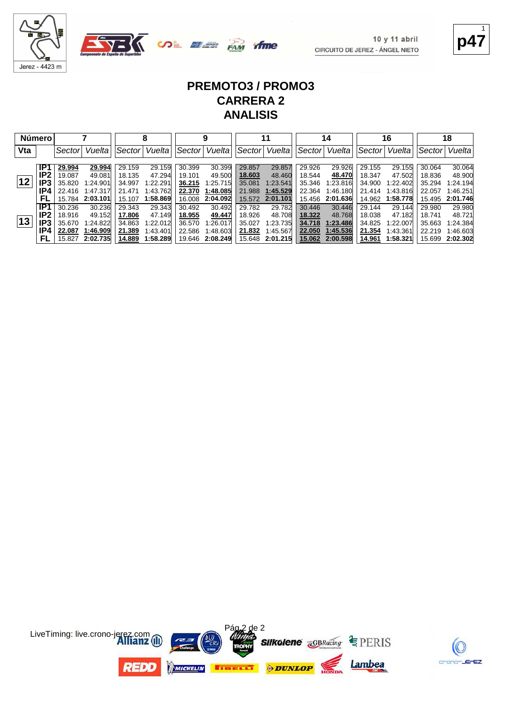



**p47** 1

K

crono-JErEZ

#### **PREMOTO3 / PROMO3 CARRERA 2 ANALISIS**

|     | <b>Número</b> |         |          |        |          |        | 9        |        | 11       |        | 14       |        | 16       |        | 18       |
|-----|---------------|---------|----------|--------|----------|--------|----------|--------|----------|--------|----------|--------|----------|--------|----------|
| Vta |               | Sectorl | Vuelta   | Sector | Vuelta   | Sector | Vuelta   | Sector | Vuelta   | Sector | Vuelta   | Sector | Vuelta   | Sector | Vuelta   |
|     | IP1           | 29.994  | 29.994   | 29.159 | 29.159   | 30.399 | 30.399   | 29.857 | 29.857   | 29.926 | 29.926   | 29.155 | 29.155   | 30.064 | 30.064   |
|     | IP2           | 19.087  | 49.081   | 18.135 | 47.294   | 19.101 | 49.500   | 18.603 | 48.460   | 18.544 | 48.470   | 18.347 | 47.502   | 18.836 | 48.900   |
| 12  | IP3           | 35.820  | 1:24.901 | 34.997 | 1:22.291 | 36.215 | 1.25.715 | 35.081 | 1:23.541 | 35.346 | 1:23.816 | 34.900 | 1:22.402 | 35.294 | 1:24.194 |
|     | IP4           | 22.416  | 1:47.317 | 21.471 | 1:43.762 | 22,370 | 1:48.085 | 21.988 | 1:45.529 | 22.364 | 1:46.180 | 21.414 | 1:43.816 | 22.057 | 1:46.251 |
|     | FL            | 15.784  | 2:03.101 | 15.107 | 1:58.869 | 16.008 | 2:04.092 | 15.572 | 2:01.101 | 15.456 | 2:01.636 | 14.962 | 1:58.778 | 15.495 | 2:01.746 |
|     | IP1           | 30.236  | 30.236   | 29.343 | 29.343   | 30.492 | 30.492   | 29.782 | 29.782   | 30.446 | 30.446   | 29.144 | 29.144   | 29.980 | 29.980   |
|     | IP2           | 18.916  | 49.152   | 17.806 | 47.149   | 18.955 | 49.447   | 18.926 | 48.708   | 18.322 | 48.768   | 18.038 | 47.182   | 18.741 | 48.721   |
| 13  | IP3           | 35.670  | 1:24.822 | 34.863 | 1:22.012 | 36.570 | 1:26.017 | 35.027 | 1:23.735 | 34.718 | 1:23.486 | 34.825 | 1:22.007 | 35.663 | 1:24.384 |
|     | IP4           | 22.087  | 1:46.909 | 21.389 | 1:43.401 | 22.586 | 1:48.603 | 21.832 | 1:45.567 | 22.050 | 1:45.536 | 21.354 | 1:43.361 | 22.219 | 1:46.603 |
|     | .FL           | 15.827  | 2:02.735 | 14.889 | 1:58.289 | 19.646 | 2:08.249 | 15.648 | 2:01.215 | 15.062 | 2:00.598 | 14.961 | 1:58.321 | 15.699 | 2:02.302 |

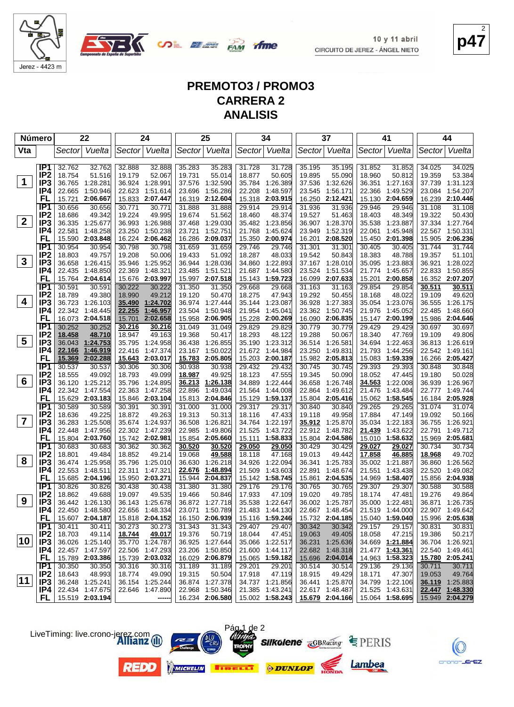

**COL BEER FAM** 

**p47** 2

## **PREMOTO3 / PROMO3 CARRERA 2 ANALISIS**

| <b>Número</b>           |                        |                  | 22                          |                  | 24                          |                  | 25                   |                  | 34                                      |                  | 37                   |                  | 41                   |                  | 44                          |
|-------------------------|------------------------|------------------|-----------------------------|------------------|-----------------------------|------------------|----------------------|------------------|-----------------------------------------|------------------|----------------------|------------------|----------------------|------------------|-----------------------------|
| Vta                     |                        |                  | Sector Vuelta               |                  | Sector Vuelta               |                  | Sector Vuelta        |                  | Sector Vuelta                           |                  | Sector Vuelta        |                  | Sector Vuelta        | Sector           | Vuelta                      |
|                         |                        |                  |                             |                  |                             |                  |                      |                  |                                         |                  |                      |                  |                      |                  |                             |
|                         | IP1                    | 32.762           | 32.762                      | 32.888           | 32.888                      | 35.283           | 35.283               | 31.728           | 31.728                                  | 35.195           | 35.195               | 31.852           | 31.852               | 34.025           | 34.025                      |
|                         | IP <sub>2</sub>        | 18.754           | 51.516                      | 19.179           | 52.067                      | 19.731           | 55.014               | 18.877           | 50.605                                  | 19.895           | 55.090               | 18.960           | 50.812               | 19.359           | 53.384                      |
| $\mathbf 1$             | IP <sub>3</sub>        |                  | 36.765 1:28.281             | 36.924           | 1:28.991                    | 37.576           | 1:32.590             | 35.784           | 1:26.389                                | 37.536           | 1:32.626             | 36.351           | 1:27.163             | 37.739           | 1:31.123                    |
|                         | IP4                    | 22.665           | 1:50.946                    | 22.623           | 1.51.614                    | 23.696           | 1:56.286             | 22.208           | 1:48.597                                | 23.545           | 1:56.171             | 22.366           | 1:49.529             | 23.084           | 1:54.207                    |
|                         | FL                     | 15.721           | 2:06.667                    | 15.833           | 2:07.447                    | 16.319           | 2:12.604             | 15.318           | 2:03.915                                | 16.250           | 2:12.421             | 15.130           | 2:04.659             | 16.239           | 2:10.446                    |
|                         | IP <sub>1</sub>        | 30.656           | 30.656                      | 30.771           | 30.771                      | 31.888           | 31.888               | 29.914           | 29.914                                  | 31.936           | 31.936               | 29.946           | 29.946               | 31.108           | 31.108                      |
| $\mathbf{2}$            | IP <sub>2</sub>        | 18.686           | 49.342                      | 19.224           | 49.995                      | 19.674           | 51.562               | 18.460           | 48.374                                  | 19.527           | 51.463               | 18.403           | 48.349               | 19.322           | 50.430                      |
|                         | IP <sub>3</sub><br>IP4 | 36.335<br>22.581 | 1:25.677<br>1:48.258        | 36.993<br>23.250 | 1:26.988<br>1:50.238        | 37.468<br>23.721 | 1:29.030<br>1:52.751 | 35.482<br>21.768 | 1:23.856<br>1:45.624                    | 36.907<br>23.949 | 1:28.370<br>1:52.319 | 35.538<br>22.061 | 1:23.887<br>1:45.948 | 37.334           | 1:27.764<br>22.567 1:50.331 |
|                         | FL                     | 15.590           | 2:03.848                    | 16.224           | 2:06.462                    | 16.286           | 2:09.037             | 15.350           | 2:00.974                                | 16.201           | 2:08.520             | 15.450           | 2:01.398             | 15.905           | 2:06.236                    |
|                         | IP1                    | 30.954           | 30.954                      | 30.798           | 30.798                      | 31.659           | 31.659               | 29.746           | 29.746                                  | 31.301           | 31.301               | 30.405           | 30.405               | 31.744           | 31.744                      |
|                         | IP <sub>2</sub>        | 18.803           | 49.757                      | 19.208           | 50.006                      | 19.433           | 51.092               | 18.287           | 48.033                                  | 19.542           | 50.843               | 18.383           | 48.788               | 19.357           | 51.101                      |
| $\mathbf{3}$            | IP <sub>3</sub>        | 36.658           | 1:26.415                    | 35.946           | 1:25.952                    | 36.944           | 1:28.036             | 34.860           | 1:22.893                                | 37.167           | 1:28.010             | 35.095           | 1:23.883             | 36.921           | 1:28.022                    |
|                         | IP4                    | 22.435           | 1:48.850                    | 22.369           | 1:48.321                    | 23.485           | 1:51.521             | 21.687           | 1:44.580                                | 23.524           | 1:51.534             | 21.774           | 1:45.657             | 22.833           | 1:50.855                    |
|                         | FL                     | 15.764           | 2:04.614                    |                  | 15.676 2:03.997             | 15.997           | 2:07.518             | 15.143           | 1:59.723                                | 16.099           | 2:07.633             | 15.201           | 2:00.858             |                  | 16.352 2:07.207             |
|                         | IP <sub>1</sub>        | 30.591           | 30.591                      | 30.222           | 30.222                      | 31.350           | 31.350               | 29.668           | 29.668                                  | 31.163           | 31.163               | 29.854           | 29.854               | 30.511           | 30.511                      |
|                         | IP <sub>2</sub>        | 18.789           | 49.380                      | 18.990           | 49.212                      | 19.120           | 50.470               | 18.275           | 47.943                                  | 19.292           | 50.455               | 18.168           | 48.022               | 19.109           | 49.620                      |
| 4                       | IP <sub>3</sub>        | 36.723           | 1:26.103                    |                  | 35.490 1:24.702             | 36.974           | 1.27.444             | 35.144           | 1:23.087                                | 36.928           | 1:27.383             | 35.054           | 1:23.076             | 36.555           | 1:26.175                    |
|                         | IP4                    | 22.342           | 1:48.445                    | 22.255           | 1:46.957                    | 23.504           | 1:50.948             | 21.954           | 1:45.041                                | 23.362           | 1:50.745             | 21.976           | 1:45.052             | 22.485           | 1:48.660                    |
|                         | <b>FL</b>              | 16.073           | 2:04.518                    | 15.701           | 2:02.658                    | 15.958           | 2:06.905             | 15.228           | 2:00.269                                | 16.090           | 2:06.835             | 15.147           | 2:00.199             |                  | 15.986 2:04.646             |
|                         | IP1                    | 30.252           | 30.252                      | 30.216           | 30.216                      | 31.049           | 31.049               | 29.829           | 29.829                                  | 30.779           | 30.779               | 29.429           | 29.429               | 30.697           | 30.697                      |
|                         | IP <sub>2</sub>        | 18.458           | 48.710                      | 18.947           | 49.163                      | 19.368           | 50.417               | 18.293           | 48.122                                  | 19.288           | 50.067               | 18.340           | 47.769               | 19.109           | 49.806                      |
| 5                       | IP <sub>3</sub>        | 36.043           | 1:24.753                    | 35.795           | 1:24.958                    | 36.438           | 1:26.855             | 35.190           | 1:23.312                                | 36.514           | 1:26.581             | 34.694           | 1:22.463             | 36.813           | 1:26.619                    |
|                         | IP4                    | 22.166           | 1:46.919                    | 22.416           | 1:47.374                    | 23.167           | 1:50.022             | 21.672           | 1:44.984                                | 23.250           | 1:49.831             | 21.793           | 1:44.256             | 22.542           | 1:49.161                    |
|                         | FL<br>IP <sub>1</sub>  | 15.369<br>30.537 | 2:02.288<br>30.537          | 30.306           | 15.643 2:03.017<br>30.306   | 15.783<br>30.938 | 2:05.805<br>30.938   | 15.203<br>29.432 | 2:00.187                                | 15.982<br>30.745 | 2:05.813             | 15.083<br>29.393 | 1:59.339<br>29.393   | 16.266<br>30.848 | 2:05.427<br>30.848          |
|                         | IP <sub>2</sub>        | 18.555           | 49.092                      | 18.793           | 49.099                      | 18.987           | 49.925               | 18.123           | 29.432<br>47.555                        | 19.345           | 30.745<br>50.090     | 18.052           | 47.445               | 19.180           | 50.028                      |
| 6                       | IP <sub>3</sub>        | 36.120           | 1:25.212                    | 35.796           | 1:24.895                    | 36.213           | 1:26.138             | 34.889           | 1:22.444                                | 36.658           | 1:26.748             | 34.563           | 1:22.008             | 36.939           | 1:26.967                    |
|                         | IP4                    | 22.342           | 1:47.554                    | 22.363           | 1:47.258                    | 22.896           | 1:49.034             | 21.564           | 1:44.008                                | 22.864           | 1:49.612             | 21.476           | 1:43.484             | 22.777           | 1:49.744                    |
|                         | FL                     | 15.629           | 2:03.183                    |                  | 15.846 2:03.104             | 15.813           | 2:04.846             | 15.129           | 1:59.137                                | 15.804           | 2:05.416             | 15.062           | 1:58.545             |                  | 16.184 2:05.928             |
|                         | IP1                    | 30.589           | 30.589                      | 30.391           | 30.391                      | 31.000           | 31.000               | 29.317           | 29.317                                  | 30.840           | 30.840               | 29.265           | 29.265               | 31.074           | 31.074                      |
|                         | IP <sub>2</sub>        | 18.636           | 49.225                      | 18.872           | 49.263                      | 19.313           | 50.313               | 18.116           | 47.433                                  | 19.118           | 49.958               | 17.884           | 47.149               | 19.092           | 50.166                      |
| $\overline{\mathbf{7}}$ | IP3                    | 36.283           | 1:25.508                    |                  | 35.674 1:24.937             | 36.508           | 1:26.821             | 34.764           | 1:22.197                                | 35.912           | 1:25.870             | 35.034           | 1:22.183             | 36.755           | 1:26.921                    |
|                         | IP4                    | 22.448           | 1:47.956                    |                  | 22.302 1:47.239             | 22.985           | 1:49.806             | 21.525           | 1:43.722                                | 22.912           | 1:48.782             | 21.439           | 1:43.622             | 22.791           | 1:49.712                    |
|                         | FL                     |                  | 15.804 2:03.760             |                  | 15.742 2:02.981             |                  | 15.854 2:05.660      | 15.111           | 1:58.833                                |                  | 15.804 2:04.586      | 15.010           | 1:58.632             |                  | 15.969 2:05.681             |
|                         | IP1                    | 30.683           | 30.683                      | 30.362           | 30.362                      | 30.520           | 30.520               | <u>29.050</u>    | 29.050                                  | 30.429           | 30.429               | 29.027           | 29.027               | 30.734           | 30.734                      |
| 8                       | IP <sub>2</sub>        | 18.801           | 49.484                      | 18.852           | 49.214                      | 19.068           | 49.588               | 18.118           | 47.168                                  | 19.013           | 49.442               | <u>17.858</u>    | 46.885               | 18.968           | 49.702                      |
|                         | IP <sub>3</sub>        | 36.474           | 1:25.958                    | 35.796           | 1:25.010                    | 36.630           | 1:26.218             | 34.926           | 1:22.094                                | 36.341           | 1:25.783             | 35.002           | 1:21.887             | 36.860           | 1:26.562                    |
|                         | IP4<br>FL              | 22.553           | 1:48.511<br>15.685 2:04.196 | 22.311           | 1:47.321<br>15.950 2:03.271 | 22.676           | 1:48.894<br>2:04.837 | 21.509           | 1:43.603                                | 22.891<br>15.861 | 1:48.674<br>2:04.535 | 21.551           | 1:43.438<br>1:58.407 | 22.520           | 1:49.082<br>15.856 2:04.938 |
|                         | IP <sub>1</sub>        | 30.826           | 30.826                      | 30.438           | 30.438                      | 15.944<br>31.380 | 31.380               | 29.176           | 15.142 1:58.745<br>29.176               | 30.765           | 30.765               | 14.969<br>29.307 | 29.307               | 30.588           | 30.588                      |
|                         | IP <sub>2</sub>        | 18.862           | 49.688                      | 19.097           | 49.535                      | 19.466           | 50.846               | 17.933           | 47.109                                  | 19.020           | 49.785               | 18.174           | 47.481               | 19.276           | 49.864                      |
| 9                       | IP <sub>3</sub>        |                  | 36.442 1:26.130             |                  | 36.143 1:25.678             |                  | 36.872 1:27.718      |                  | 35.538 1:22.647                         |                  | 36.002 1:25.787      |                  | 35.000 1:22.481      |                  | 36.871 1:26.735             |
|                         | IP4                    |                  | 22.450 1:48.580             |                  | 22.656 1:48.334             |                  | 23.071 1:50.789      |                  | 21.483 1:44.130                         |                  | 22.667 1:48.454      |                  | 21.519 1:44.000      |                  | 22.907 1:49.642             |
|                         | FL.                    |                  | 15.607 2:04.187             |                  | 15.818 2:04.152             |                  | 16.150 2:06.939      |                  | 15.116 1:59.246                         |                  | 15.732 2:04.185      |                  | 15.040 1:59.040      |                  | 15.996 2:05.638             |
|                         | IP1                    | 30.411           | 30.411                      | 30.273           | 30.273                      | 31.343           | 31.343               | 29.407           | 29.407                                  | 30.342           | 30.342               | 29.157           | 29.157               | 30.831           | 30.831                      |
|                         | IP <sub>2</sub>        | 18.703           | 49.114                      | 18.744           | 49.017                      | 19.376           | 50.719               | 18.044           | 47.451                                  | 19.063           | 49.405               | 18.058           | 47.215               | 19.386           | 50.217                      |
| 10                      | IP <sub>3</sub>        |                  | 36.026 1:25.140             |                  | 35.770 1:24.787             |                  | 36.925 1:27.644      |                  | 35.066 1:22.517                         |                  | 36.231 1:25.636      |                  | 34.669 1:21.884      |                  | 36.704 1:26.921             |
|                         | IP4                    |                  | 22.457 1:47.597             |                  | 22.506 1:47.293             |                  | 23.206 1:50.850      | 21.600           | 1:44.117                                |                  | 22.682 1:48.318      | 21.477           | 1:43.361             |                  | 22.540 1:49.461             |
|                         | FL,                    |                  | 15.789 2:03.386             |                  | 15.739 2:03.032             |                  | 16.029 2:06.879      |                  | 15.065 1:59.182                         |                  | 15.696 2:04.014      |                  | 14.963 1:58.323      |                  | 15.780 2:05.241             |
|                         | IP1                    | 30.350           | 30.350                      | 30.316           | 30.316                      | 31.189           | 31.189               | 29.201           | 29.201                                  | 30.514           | 30.514               | 29.136           | 29.136               | 30.711           | 30.711                      |
| $ 11\rangle$            | IP <sub>2</sub>        | 18.643           | 48.993                      | 18.774           | 49.090                      | 19.315           | 50.504               | 17.918           | 47.119                                  | 18.915           | 49.429               | 18.171           | 47.307               | 19.053           | 49.764                      |
|                         | IP <sub>3</sub>        |                  | 36.248 1:25.241             |                  | 36.154 1:25.244             |                  | 36.874 1:27.378      |                  | 34.737 1:21.856                         |                  | 36.441 1:25.870      |                  | 34.799 1:22.106      |                  | 36.119 1:25.883             |
|                         | IP4                    |                  | 22.434 1:47.675             |                  | 22.646 1:47.890             |                  | 22.968 1:50.346      |                  | 21.385 1:43.241                         |                  | 22.617 1:48.487      |                  | 21.525 1:43.631      |                  | 22.447 1:48.330             |
|                         | FL.                    |                  | 15.519 2:03.194             |                  | ------                      |                  | 16.234 2:06.580      |                  | 15.002  1:58.243 <u>15.679</u> 2:04.166 |                  |                      |                  | 15.064 1:58.695      |                  | 15.949 2:04.279             |

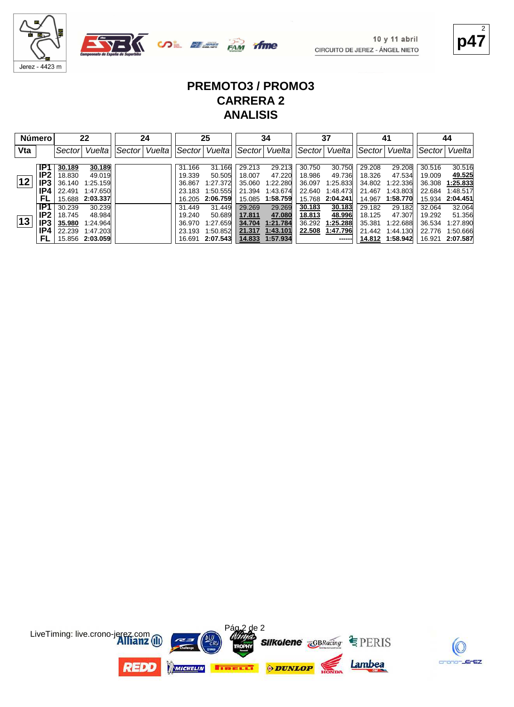

**OL SEE PAM** time

 $10y11$  abril CIRCUITO DE JEREZ - ÁNGEL NIETO **p47** 2

#### **PREMOTO3 / PROMO3 CARRERA 2 ANALISIS**

|     | <b>Número</b> |        | 22              |        | 24     |        | 25       |        | 34       |        | 37       |        | 41       |        | 44              |
|-----|---------------|--------|-----------------|--------|--------|--------|----------|--------|----------|--------|----------|--------|----------|--------|-----------------|
| Vta |               | Sector | Vuelta          | Sector | Vuelta | Sector | Vuelta   | Sector | Vuelta   | Sector | Vuelta   | Sector | Vuelta   | Sector | Vuelta          |
|     | IP1           | 30.189 | 30.189          |        |        | 31.166 | 31.166   | 29.213 | 29.213   | 30.750 | 30.750   | 29.208 | 29.208   | 30.516 | 30.516          |
|     | IP2           | 18.830 | 49.019          |        |        | 19.339 | 50.505   | 18.007 | 47.220   | 18.986 | 49.736   | 18.326 | 47.534   | 19.009 | 49.525          |
| 12  | IP3           | 36.140 | 1:25.159        |        |        | 36.867 | 1:27.372 | 35.060 | 1:22.280 | 36.097 | 1:25.833 | 34.802 | 1:22.336 | 36.308 | 1:25.833        |
|     | IP4           | 22.491 | 1:47.650        |        |        | 23.183 | 1:50.555 | 21.394 | 1:43.674 | 22.640 | 1:48.473 | 21.467 | 1:43.803 | 22.684 | 1:48.517        |
|     | FL            |        | 15.688 2:03.337 |        |        | 16.205 | 2:06.759 | 15.085 | 1:58.759 | 15.768 | 2:04.241 | 14.967 | 1:58.770 |        | 15.934 2:04.451 |
|     | IP1           | 30.239 | 30.239          |        |        | 31.449 | 31.449   | 29.269 | 29.269   | 30.183 | 30.183   | 29.182 | 29.182   | 32.064 | 32.064          |
|     | IP2           | 18.745 | 48.984          |        |        | 19.240 | 50.689   | 17.811 | 47.080   | 18.813 | 48.996   | 18.125 | 47.307   | 19.292 | 51.356          |
| 13  | IP3           | 35.980 | 1:24.964        |        |        | 36.970 | 1:27.659 | 34.704 | 1:21.784 | 36.292 | 1:25.288 | 35.381 | 1:22.688 | 36.534 | 1:27.890        |
|     | IP4           | 22.239 | 1:47.203        |        |        | 23.193 | 1:50.852 | 21.317 | 1:43.101 | 22.508 | 1:47.796 | 21.442 | 1:44.130 | 22.776 | 1:50.666        |
|     | FL            |        | 15.856 2:03.059 |        |        | 16.691 | 2:07.543 | 14.833 | 1:57.934 |        | ------   | 14.812 | 1:58.942 |        | 16.921 2:07.587 |



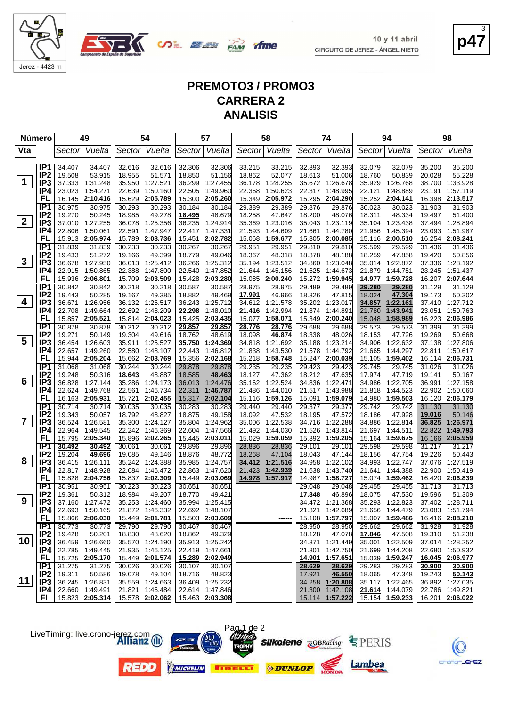

**COL BEER FAM** 

**p47** 3

## **PREMOTO3 / PROMO3 CARRERA 2 ANALISIS**

*ifme* 

| <b>Número</b>           |                                    |                  | 49                                 |                  | 54                                 |                  | 57                          |                  | 58                   |                  | 74                          |                  | 94                          |                  | 98                        |
|-------------------------|------------------------------------|------------------|------------------------------------|------------------|------------------------------------|------------------|-----------------------------|------------------|----------------------|------------------|-----------------------------|------------------|-----------------------------|------------------|---------------------------|
| Vta                     |                                    |                  | Sector Vuelta                      |                  | Sector Vuelta                      |                  | Sector Vuelta               |                  | Sector Vuelta        |                  | Sector Vuelta               | Sector           | Vuelta                      | Sector           | Vuelta                    |
|                         |                                    |                  |                                    |                  |                                    |                  |                             |                  |                      |                  |                             |                  |                             |                  |                           |
|                         | IP1                                | 34.407           | 34.407                             | 32.616           | 32.616                             | 32.306           | 32.306                      | 33.215           | 33.215               | 32.393           | 32.393                      | 32.079           | 32.079                      | 35.200           | 35.200                    |
|                         | IP <sub>2</sub>                    | 19.508           | 53.915                             | 18.955           | 51.571                             | 18.850           | 51.156                      | 18.862           | 52.077               | 18.613           | 51.006                      | 18.760           | 50.839                      | 20.028           | 55.228                    |
| $\mathbf 1$             | IP <sub>3</sub>                    | 37.333           | 1:31.248                           | 35.950           | 1:27.521                           | 36.299           | 1:27.455                    | 36.178           | 1:28.255             | 35.672           | 1:26.678                    | 35.929           | 1:26.768                    | 38.700           | 1:33.928                  |
|                         | IP4                                | 23.023           | 1:54.271                           | 22.639           | 1:50.160                           | 22.505           | 1:49.960                    | 22.368           | 1:50.623             | 22.317           | 1:48.995                    | 22.121           | 1:48.889                    | 23.191           | 1:57.119                  |
|                         | FL                                 | 16.145           | 2:10.416                           | 15.629           | 2:05.789                           | 15.300           | 2:05.260                    | 15.349           | 2:05.972             | 15.295           | 2:04.290                    |                  | 15.252 2:04.141             | 16.398           | 2:13.517                  |
|                         | IP <sub>1</sub>                    | 30.975           | 30.975                             | 30.293           | 30.293                             | 30.184           | 30.184                      | 29.389           | 29.389               | 29.876           | 29.876                      | 30.023           | 30.023                      | 31.903           | 31.903                    |
| $\mathbf{2}$            | IP <sub>2</sub><br>IP <sub>3</sub> | 19.270<br>37.010 | 50.245<br>1:27.255                 | 18.985<br>36.078 | 49.278<br>1:25.356                 | 18.495           | 48.679<br>1:24.914          | 18.258<br>35.369 | 47.647<br>1:23.016   | 18.200<br>35.043 | 48.076                      | 18.311<br>35.104 | 48.334<br>1:23.438          | 19.497<br>37.494 | 51.400<br>1:28.894        |
|                         | IP4                                | 22.806           | 1:50.061                           | 22.591           | 1:47.947                           | 36.235           | 22.417 1:47.331             | 21.593           | 1:44.609             | 21.661           | 1:23.119<br>1:44.780        | 21.956           | 1:45.394                    | 23.093           | 1:51.987                  |
|                         | FL                                 | 15.913           | 2:05.974                           | 15.789           | 2:03.736                           | 15.451           | 2:02.782                    | 15.068           | 1:59.677             | 15.305           | 2:00.085                    | 15.116           | 2:00.510                    | 16.254           | 2:08.241                  |
|                         | IP1                                | 31.839           | 31.839                             | 30.233           | 30.233                             | 30.267           | 30.267                      | 29.951           | 29.951               | 29.810           | 29.810                      | 29.599           | 29.599                      | 31.436           | 31.436                    |
|                         | IP <sub>2</sub>                    | 19.433           | 51.272                             | 19.166           | 49.399                             | 18.779           | 49.046                      | 18.367           | 48.318               | 18.378           | 48.188                      | 18.259           | 47.858                      | 19.420           | 50.856                    |
| $\mathbf{3}$            | IP <sub>3</sub>                    | 36.678           | 1:27.950                           |                  | 36.013 1:25.412                    | 36.266           | 1:25.312                    | 35.194           | 1:23.512             | 34.860           | 1:23.048                    | 35.014           | 1:22.872                    | 37.336           | 1:28.192                  |
|                         | IP4                                | 22.915           | 1:50.865                           | 22.388           | 1:47.800                           | 22.540           | 1:47.852                    | 21.644           | 1:45.156             | 21.625           | 1:44.673                    | 21.879           | 1:44.751                    |                  | 23.245 1:51.437           |
|                         | FL                                 | 15.936           | 2:06.801                           | 15.709           | 2:03.509                           | 15.428           | 2:03.280                    | 15.085           | 2:00.240             | 15.272           | 1:59.945                    | 14.977           | 1:59.728                    |                  | 16.207 2:07.644           |
|                         | IP <sub>1</sub>                    | 30.842           | 30.842                             | 30.218           | 30.218                             | 30.587           | 30.587                      | 28.975           | 28.975               | 29.489           | 29.489                      | 29.280           | 29.280                      | 31.129           | 31.129                    |
|                         | IP <sub>2</sub>                    | 19.443           | 50.285                             | 19.167           | 49.385                             | 18.882           | 49.469                      | 17.991           | 46.966               | 18.326           | 47.815                      | 18.024           | 47.304                      | 19.173           | 50.302                    |
| 4                       | IP3                                | 36.671           | 1:26.956                           | 36.132           | 1:25.517                           |                  | 36.243 1:25.712             | 34.612           | 1:21.578             | 35.202           | 1:23.017                    | 34.857           | 1:22.161                    | 37.410           | 1:27.712                  |
|                         | IP4                                | 22.708           | 1:49.664                           |                  | 22.692 1:48.209                    | 22.298           | 1:48.010                    | <u> 21.416</u>   | 1:42.994             | 21.874           | 1:44.891                    | 21.780           | 1:43.941                    | 23.051           | 1:50.763                  |
|                         | FL                                 |                  | 15.857 2:05.521                    |                  | 15.814 2:04.023                    | 15.425           | 2:03.435                    | 15.077           | 1:58.071             | 15.349           | 2:00.240                    | 15.048           | 1:58.989                    | 16.223           | 2:06.986                  |
|                         | IP1<br>IP <sub>2</sub>             | 30.878           | 30.878                             | 30.312           | 30.312<br>49.616                   | 29.857           | 29.857<br>48.619            | 28.776           | 28.776<br>46.874     | 29.688           | 29.688                      | 29.573           | 29.573                      | 31.399           | 31.399                    |
| 5                       | IP <sub>3</sub>                    | 19.271<br>36.454 | 50.149<br>1.26.603                 | 19.304<br>35.911 | 1:25.527                           | 18.762<br>35.750 | 1:24.369                    | 18.098<br>34.818 | 1:21.692             | 18.338<br>35.188 | 48.026<br>1:23.214          | 18.153<br>34.906 | 47.726<br>1:22.632          | 19.269<br>37.138 | 50.668<br>1:27.806        |
|                         | IP4                                | 22.657           | 1:49.260                           | 22.580           | 1:48.107                           | 22.443           | 1:46.812                    | 21.838           | 1:43.530             | 21.578           | 1:44.792                    | 21.665           | 1:44.297                    | 22.811           | 1:50.617                  |
|                         | FL                                 | 15.944           | 2:05.204                           |                  | 15.662 2:03.769                    | 15.356           | 2:02.168                    | 15.218           | 1:58.748             | 15.247           | 2:00.039                    | 15.105           | 1:59.402                    |                  | 16.114 2:06.731           |
|                         | IP <sub>1</sub>                    | 31.068           | 31.068                             | 30.244           | 30.244                             | 29.878           | 29.878                      | 29.235           | 29.235               | 29.423           | 29.423                      | 29.745           | 29.745                      | 31.026           | 31.026                    |
|                         | IP <sub>2</sub>                    | 19.248           | 50.316                             | 18.643           | 48.887                             | 18.585           | 48.463                      | 18.127           | 47.362               | 18.212           | 47.635                      | 17.974           | 47.719                      | 19.141           | 50.167                    |
| 6                       | IP <sub>3</sub>                    | 36.828           | 1:27.144                           | 35.286           | 1:24.173                           | 36.013           | 1:24.476                    | 35.162           | 1:22.524             | 34.836           | 1:22.471                    | 34.986           | 1:22.705                    | 36.991           | 1:27.158                  |
|                         | IP4                                | 22.624           | 1:49.768                           | 22.561           | 1:46.734                           | 22.311           | 1:46.787                    | 21.486           | 1:44.010             | 21.517           | 1:43.988                    | 21.818           | 1:44.523                    | 22.902           | 1:50.060                  |
|                         | FL                                 |                  | 16.163 2:05.931                    | 15.721           | 2:02.455                           | 15.317           | 2:02.104                    | 15.116           | 1:59.126             | 15.091           | 1:59.079                    | 14.980           | 1:59.503                    | 16.120           | 2:06.179                  |
|                         | IP1                                | 30.714           | 30.714                             | 30.035           | 30.035                             | 30.283           | 30.283                      | 29.440           | 29.440               | 29.377           | 29.377                      | 29.742           | 29.742                      | 31.130           | 31.130                    |
|                         | IP <sub>2</sub>                    | 19.343           | 50.057                             | 18.792           | 48.827                             | 18.875           | 49.158                      | 18.092           | 47.532               | 18.195           | 47.572                      | 18.186           | 47.928                      | 19.016           | 50.146                    |
| $\overline{\mathbf{7}}$ | IP3                                | 36.524           | 1:26.581                           | 35.300           | 1:24.127                           | 35.804           | 1:24.962                    | 35.006           | 1:22.538             | 34.716           | 1:22.288                    | 34.886           | 1:22.814                    | 36.825           | 1:26.971                  |
|                         | IP4<br>FL                          | 22.964           | 1:49.545<br>15.795 2:05.340        |                  | 22.242 1:46.369<br>15.896 2:02.265 | 22.604           | 1:47.566<br>15.445 2:03.011 | 21.492<br>15.029 | 1:44.030<br>1:59.059 | 21.526           | 1:43.814<br>15.392 1:59.205 | 21.697           | 1:44.511<br>15.164 1:59.675 | 22.822           | 1:49.793<br>2:05.959      |
|                         | IP1                                | 30.492           | 30.492                             | 30.061           | 30.061                             | 29.896           | 29.896                      | 28.836           | 28.836               | 29.101           | 29.101                      | 29.598           | 29.598                      | 16.166<br>31.217 | 31.217                    |
|                         | IP <sub>2</sub>                    | 19.204           | 49.696                             | 19.085           | 49.146                             | 18.876           | 48.772                      | 18.268           | 47.104               | 18.043           | 47.144                      | 18.156           | 47.754                      | 19.226           | 50.443                    |
| 8                       | IP <sub>3</sub>                    |                  | 36.415 1:26.111                    |                  | 35.242 1:24.388                    | 35.985           | 1:24.757                    | <u>34.412</u>    | 1:21.516             | 34.958           | 1:22.102                    | 34.993           | 1:22.747                    | 37.076           | 1:27.519                  |
|                         | IP4                                | 22.817           | 1:48.928                           | 22.084           | 1:46.472                           | 22.863           | 1:47.620                    | 21.423           | 1:42.939             | 21.638           | 1:43.740                    | 21.641           | 1:44.388                    | 22.900           | 1:50.419                  |
|                         | FL                                 |                  | 15.828 2:04.756                    |                  | 15.837 2:02.309                    |                  | 15.449 2:03.069             |                  | 14.978 1:57.917      |                  | 14.987 1:58.727             |                  | 15.074 1:59.462             |                  | 16.420 2:06.839           |
|                         | IP <sub>1</sub>                    | 30.951           | 30.951                             | 30.223           | 30.223                             | 30.651           | 30.651                      |                  |                      | 29.048           | 29.048                      | 29.455           | 29.455                      | 31.713           | 31.713                    |
|                         | IP <sub>2</sub>                    | 19.361           | 50.312                             | 18.984           | 49.207                             | 18.770           | 49.421                      |                  |                      | 17.848           | 46.896                      | 18.075           | 47.530                      | 19.596           | 51.309                    |
| 9                       | IP <sub>3</sub>                    |                  | 37.160 1:27.472                    |                  | 35.253 1:24.460                    |                  | 35.994 1:25.415             |                  |                      |                  | 34.472 1:21.368             |                  | 35.293 1:22.823             |                  | 37.402 1:28.711           |
|                         | IP4                                |                  | 22.693 1:50.165                    |                  | 21.872 1:46.332                    |                  | 22.692 1:48.107             |                  |                      |                  | 21.321 1:42.689             |                  | 21.656 1:44.479             |                  | 23.083 1:51.794           |
|                         | FL.                                |                  | 15.866 2:06.030                    |                  | 15.449 2:01.781                    |                  | 15.503 2:03.609             |                  | -----                |                  | 15.108 1:57.797             |                  | 15.007 1:59.486             |                  | 16.416 2:08.210           |
|                         | IP1                                | 30.773           | 30.773                             | 29.790           | 29.790                             | 30.467           | 30.467                      |                  |                      | 28.950           | 28.950                      | 29.662           | 29.662                      | 31.928           | 31.928                    |
| 10                      | IP <sub>2</sub>                    | 19.428           | 50.201                             | 18.830           | 48.620                             | 18.862           | 49.329<br>35.913 1:25.242   |                  |                      | 18.128           | 47.078                      | 17.846           | 47.508                      | 19.310           | 51.238<br>37.014 1:28.252 |
|                         | IP <sub>3</sub><br>IP4             |                  | 36.459 1:26.660                    |                  | 35.570 1:24.190<br>21.935 1:46.125 |                  | 22.419 1:47.661             |                  |                      | 21.301           | 34.371 1:21.449             | 35.001           | 1:22.509                    |                  | 22.680 1:50.932           |
|                         | <b>FL</b>                          |                  | 22.785 1:49.445<br>15.725 2:05.170 |                  | 15.449 2:01.574                    |                  | 15.289 2:02.949             |                  |                      |                  | 1:42.750<br>14.901 1:57.651 | 21.699           | 1:44.208<br>15.039 1:59.247 |                  | 16.045 2:06.977           |
|                         | IP1                                | 31.275           | 31.275                             | 30.026           | 30.026                             | 30.107           | 30.107                      |                  |                      | 28.629           | 28.629                      | 29.283           | 29.283                      | 30.900           | 30.900                    |
|                         | IP <sub>2</sub>                    | 19.311           | 50.586                             | 19.078           | 49.104                             | 18.716           | 48.823                      |                  |                      | 17.921           | 46.550                      | 18.065           | 47.348                      | 19.243           | 50.143                    |
| $ 11\rangle$            | IP <sub>3</sub>                    |                  | 36.245 1:26.831                    |                  | 35.559 1:24.663                    |                  | 36.409 1:25.232             |                  |                      |                  | 34.258 1:20.808             |                  | 35.117 1:22.465             |                  | 36.892 1:27.035           |
|                         | IP4                                |                  | 22.660 1:49.491                    |                  | 21.821 1:46.484                    |                  | 22.614 1:47.846             |                  |                      |                  | 21.300 1:42.108             |                  | 21.614 1:44.079             |                  | 22.786 1:49.821           |
|                         | FL.                                |                  | 15.823 2:05.314                    |                  | 15.578 2:02.062                    |                  | 15.463 2:03.308             |                  |                      |                  | 15.114 1:57.222             |                  | 15.154 1:59.233             |                  | 16.201 2:06.022           |

LiveTiming: live.crono-jerez.com











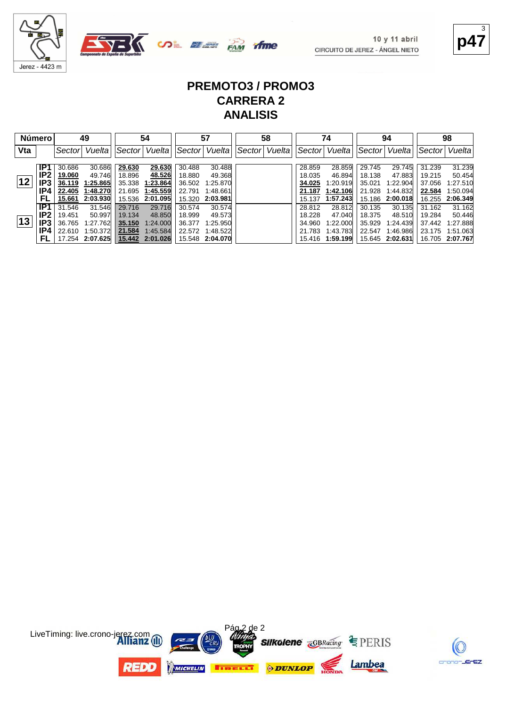

**p47** 3

#### **PREMOTO3 / PROMO3 CARRERA 2 ANALISIS**

|     | <b>Número</b>   |        | 49               |        | 54                          |                  | 57               |        | 58     |                  | 74               |                  | 94               |                  | 98               |
|-----|-----------------|--------|------------------|--------|-----------------------------|------------------|------------------|--------|--------|------------------|------------------|------------------|------------------|------------------|------------------|
| Vta |                 | Sector | Vuelta           |        | Vuelta<br>Sector<br> Sector |                  | Vuelta           | Sector | Vuelta | ∣Sector          | Vuelta           | Sector           | Vuelta           | Sector           | Vuelta           |
|     | IP1             | 30.686 |                  | 29.630 | 29.630                      |                  |                  |        |        |                  |                  |                  |                  |                  |                  |
|     | IP <sub>2</sub> | 19.060 | 30.686<br>49.746 | 18.896 | 48.526                      | 30.488<br>18.880 | 30.488<br>49.368 |        |        | 28.859<br>18.035 | 28.859<br>46.894 | 29.745<br>18.138 | 29.745<br>47.883 | 31.239<br>19.215 | 31.239<br>50.454 |
| 12  | IP3             | 36.119 | 1:25.865         | 35.338 | 1:23.864                    | 36.502           | 1:25.870         |        |        | 34.025           | 1:20.919         | 35.021           | 1:22.904         | 37.056           | 1:27.510         |
|     | IP4             | 22.405 | 1:48.270         | 21.695 | 1:45.559                    | 22.791           | 1:48.661         |        |        | 21.187           | 1:42.106         | 21.928           | 1:44.832         | 22.584           | 1:50.094         |
|     | FL              | 15.661 | 2:03.930         |        | 15.536 2:01.095             |                  | 15.320 2:03.981  |        |        | 15.137           | 1:57.243         | 15.186           | 2:00.018         | 16.255           | 2:06.349         |
|     | IP <sub>1</sub> | 31.546 | 31.546           | 29.716 | 29.716                      | 30.574           | 30.574           |        |        | 28.812           | 28.812           | 30.135           | 30.135           | 31.162           | 31.162           |
|     | IP <sub>2</sub> | 19.451 | 50.997           | 19.134 | 48.850                      | 18.999           | 49.573           |        |        | 18.228           | 47.040           | 18.375           | 48.510           | 19.284           | 50.446           |
| 13  | IP3             | 36.765 | 1:27.762         | 35.150 | 1:24.000                    | 36.377           | 1:25.950         |        |        | 34.960           | 1:22.000         | 35.929           | 1:24.439         | 37.442           | 1:27.888         |
|     | IP4             | 22.610 | 1:50.372         | 21.584 | 1:45.584                    |                  | 22.572 1:48.522  |        |        | 21.783           | 1:43.783         | 22.547           | 1:46.986         |                  | 23.175 1:51.063  |
|     | FL.             |        | 17.254 2:07.625  |        | 15.442 2:01.026             |                  | 15.548 2:04.070  |        |        |                  | 15.416 1:59.199  |                  | 15.645 2:02.631  | 16.705 2:07.767  |                  |



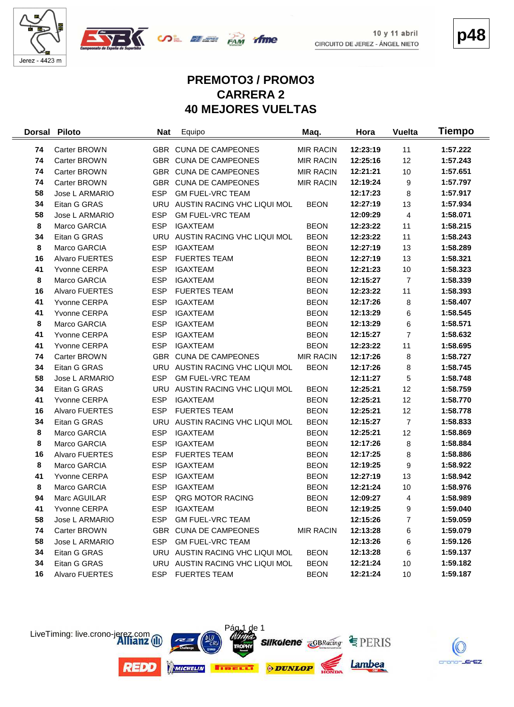



**p48**

# **PREMOTO3 / PROMO3 CARRERA 2 40 MEJORES VUELTAS**

| <b>Dorsal</b> | <b>Piloto</b>         | <b>Nat</b> | Equipo                          | Maq.             | Hora     | <b>Vuelta</b>  | Tiempo   |
|---------------|-----------------------|------------|---------------------------------|------------------|----------|----------------|----------|
| 74            | Carter BROWN          |            | GBR CUNA DE CAMPEONES           | <b>MIR RACIN</b> | 12:23:19 | 11             | 1:57.222 |
| 74            | Carter BROWN          |            | GBR CUNA DE CAMPEONES           | <b>MIR RACIN</b> | 12:25:16 | 12             | 1:57.243 |
| 74            | Carter BROWN          |            | GBR CUNA DE CAMPEONES           | <b>MIR RACIN</b> | 12:21:21 | 10             | 1:57.651 |
| 74            | Carter BROWN          |            | GBR CUNA DE CAMPEONES           | <b>MIR RACIN</b> | 12:19:24 | 9              | 1:57.797 |
| 58            | Jose L ARMARIO        | <b>ESP</b> | <b>GM FUEL-VRC TEAM</b>         |                  | 12:17:23 | 8              | 1:57.917 |
| 34            | Eitan G GRAS          |            | URU AUSTIN RACING VHC LIQUI MOL | <b>BEON</b>      | 12:27:19 | 13             | 1:57.934 |
| 58            | Jose L ARMARIO        | <b>ESP</b> | <b>GM FUEL-VRC TEAM</b>         |                  | 12:09:29 | 4              | 1:58.071 |
| 8             | Marco GARCIA          | <b>ESP</b> | <b>IGAXTEAM</b>                 | <b>BEON</b>      | 12:23:22 | 11             | 1:58.215 |
| 34            | Eitan G GRAS          |            | URU AUSTIN RACING VHC LIQUI MOL | <b>BEON</b>      | 12:23:22 | 11             | 1:58.243 |
| 8             | Marco GARCIA          | <b>ESP</b> | <b>IGAXTEAM</b>                 | <b>BEON</b>      | 12:27:19 | 13             | 1:58.289 |
| 16            | Alvaro FUERTES        | <b>ESP</b> | <b>FUERTES TEAM</b>             | <b>BEON</b>      | 12:27:19 | 13             | 1:58.321 |
| 41            | Yvonne CERPA          | <b>ESP</b> | <b>IGAXTEAM</b>                 | <b>BEON</b>      | 12:21:23 | 10             | 1:58.323 |
| 8             | Marco GARCIA          | <b>ESP</b> | <b>IGAXTEAM</b>                 | <b>BEON</b>      | 12:15:27 | $\overline{7}$ | 1:58.339 |
| 16            | Alvaro FUERTES        | <b>ESP</b> | <b>FUERTES TEAM</b>             | <b>BEON</b>      | 12:23:22 | 11             | 1:58.393 |
| 41            | Yvonne CERPA          | <b>ESP</b> | <b>IGAXTEAM</b>                 | <b>BEON</b>      | 12:17:26 | 8              | 1:58.407 |
| 41            | Yvonne CERPA          | ESP        | <b>IGAXTEAM</b>                 | <b>BEON</b>      | 12:13:29 | 6              | 1:58.545 |
| 8             | Marco GARCIA          | <b>ESP</b> | <b>IGAXTEAM</b>                 | <b>BEON</b>      | 12:13:29 | 6              | 1:58.571 |
| 41            | Yvonne CERPA          | <b>ESP</b> | <b>IGAXTEAM</b>                 | <b>BEON</b>      | 12:15:27 | $\overline{7}$ | 1:58.632 |
| 41            | Yvonne CERPA          | <b>ESP</b> | <b>IGAXTEAM</b>                 | <b>BEON</b>      | 12:23:22 | 11             | 1:58.695 |
| 74            | Carter BROWN          |            | GBR CUNA DE CAMPEONES           | <b>MIR RACIN</b> | 12:17:26 | 8              | 1:58.727 |
| 34            | Eitan G GRAS          |            | URU AUSTIN RACING VHC LIQUI MOL | <b>BEON</b>      | 12:17:26 | 8              | 1:58.745 |
| 58            | Jose L ARMARIO        | <b>ESP</b> | <b>GM FUEL-VRC TEAM</b>         |                  | 12:11:27 | 5              | 1:58.748 |
| 34            | Eitan G GRAS          |            | URU AUSTIN RACING VHC LIQUI MOL | <b>BEON</b>      | 12:25:21 | 12             | 1:58.759 |
| 41            | Yvonne CERPA          | <b>ESP</b> | <b>IGAXTEAM</b>                 | <b>BEON</b>      | 12:25:21 | 12             | 1:58.770 |
| 16            | Alvaro FUERTES        | <b>ESP</b> | <b>FUERTES TEAM</b>             | <b>BEON</b>      | 12:25:21 | 12             | 1:58.778 |
| 34            | Eitan G GRAS          |            | URU AUSTIN RACING VHC LIQUI MOL | <b>BEON</b>      | 12:15:27 | $\overline{7}$ | 1:58.833 |
| 8             | Marco GARCIA          | <b>ESP</b> | <b>IGAXTEAM</b>                 | <b>BEON</b>      | 12:25:21 | 12             | 1:58.869 |
| 8             | Marco GARCIA          | <b>ESP</b> | <b>IGAXTEAM</b>                 | <b>BEON</b>      | 12:17:26 | 8              | 1:58.884 |
| 16            | <b>Alvaro FUERTES</b> | <b>ESP</b> | <b>FUERTES TEAM</b>             | <b>BEON</b>      | 12:17:25 | 8              | 1:58.886 |
| 8             | Marco GARCIA          | <b>ESP</b> | <b>IGAXTEAM</b>                 | <b>BEON</b>      | 12:19:25 | 9              | 1:58.922 |
| 41            | Yvonne CERPA          | <b>ESP</b> | <b>IGAXTEAM</b>                 | <b>BEON</b>      | 12:27:19 | 13             | 1:58.942 |
| 8             | Marco GARCIA          | <b>ESP</b> | <b>IGAXTEAM</b>                 | <b>BEON</b>      | 12:21:24 | 10             | 1:58.976 |
| 94            | Marc AGUILAR          | <b>ESP</b> | QRG MOTOR RACING                | <b>BEON</b>      | 12:09:27 | 4              | 1:58.989 |
| 41            | Yvonne CERPA          | ESP        | <b>IGAXTEAM</b>                 | <b>BEON</b>      | 12:19:25 | 9              | 1:59.040 |
| 58            | Jose L ARMARIO        | <b>ESP</b> | <b>GM FUEL-VRC TEAM</b>         |                  | 12:15:26 | 7              | 1:59.059 |
| 74            | Carter BROWN          |            | GBR CUNA DE CAMPEONES           | <b>MIR RACIN</b> | 12:13:28 | 6              | 1:59.079 |
| 58            | Jose L ARMARIO        | ESP        | <b>GM FUEL-VRC TEAM</b>         |                  | 12:13:26 | 6              | 1:59.126 |
| 34            | Eitan G GRAS          |            | URU AUSTIN RACING VHC LIQUI MOL | <b>BEON</b>      | 12:13:28 | 6              | 1:59.137 |
| 34            | Eitan G GRAS          |            | URU AUSTIN RACING VHC LIQUI MOL | <b>BEON</b>      | 12:21:24 | 10             | 1:59.182 |
| 16            | Alvaro FUERTES        |            | ESP FUERTES TEAM                | <b>BEON</b>      | 12:21:24 | 10             | 1:59.187 |



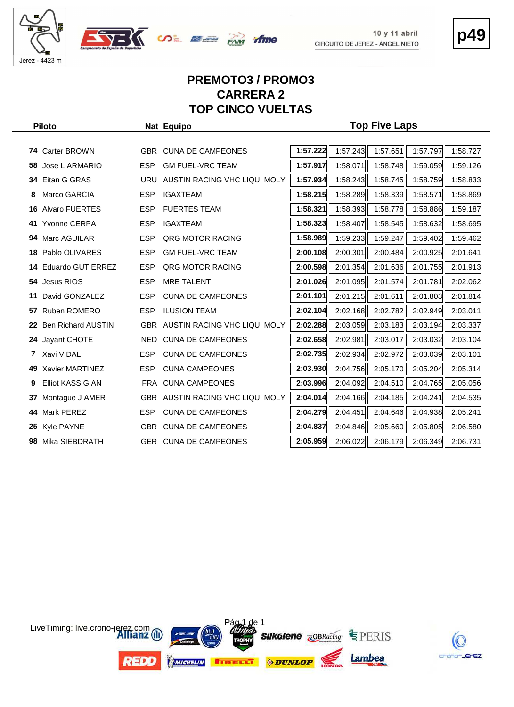





#### **PREMOTO3 / PROMO3 CARRERA 2 TOP CINCO VUELTAS**

|     | <b>Piloto</b>             |            | Nat Equipo                       | <b>Top Five Laps</b> |          |          |          |          |  |  |  |  |  |  |  |  |
|-----|---------------------------|------------|----------------------------------|----------------------|----------|----------|----------|----------|--|--|--|--|--|--|--|--|
|     |                           |            |                                  |                      |          |          |          |          |  |  |  |  |  |  |  |  |
| 74. | <b>Carter BROWN</b>       | <b>GBR</b> | <b>CUNA DE CAMPEONES</b>         | 1:57.222             | 1:57.243 | 1:57.651 | 1:57.797 | 1:58.727 |  |  |  |  |  |  |  |  |
| 58  | Jose L ARMARIO            | <b>ESP</b> | <b>GM FUEL-VRC TEAM</b>          | 1:57.917             | 1:58.071 | 1:58.748 | 1:59.059 | 1:59.126 |  |  |  |  |  |  |  |  |
| 34  | Eitan G GRAS              | <b>URU</b> | AUSTIN RACING VHC LIQUI MOLY     | 1:57.934             | 1:58.243 | 1:58.745 | 1:58.759 | 1:58.833 |  |  |  |  |  |  |  |  |
| 8   | Marco GARCIA              | <b>ESP</b> | <b>IGAXTEAM</b>                  | 1:58.215             | 1:58.289 | 1:58.339 | 1:58.571 | 1:58.869 |  |  |  |  |  |  |  |  |
| 16  | <b>Alvaro FUERTES</b>     | <b>ESP</b> | <b>FUERTES TEAM</b>              | 1:58.321             | 1:58.393 | 1:58.778 | 1:58.886 | 1:59.187 |  |  |  |  |  |  |  |  |
| 41  | <b>Yvonne CERPA</b>       | <b>ESP</b> | <b>IGAXTEAM</b>                  | 1:58.323             | 1:58.407 | 1:58.545 | 1:58.632 | 1:58.695 |  |  |  |  |  |  |  |  |
| 94. | Marc AGUILAR              | <b>ESP</b> | QRG MOTOR RACING                 | 1:58.989             | 1:59.233 | 1:59.247 | 1:59.402 | 1:59.462 |  |  |  |  |  |  |  |  |
|     | 18 Pablo OLIVARES         | <b>ESP</b> | <b>GM FUEL-VRC TEAM</b>          | 2:00.108             | 2:00.301 | 2:00.484 | 2:00.925 | 2:01.641 |  |  |  |  |  |  |  |  |
| 14  | <b>Eduardo GUTIERREZ</b>  | <b>ESP</b> | QRG MOTOR RACING                 | 2:00.598             | 2:01.354 | 2:01.636 | 2:01.755 | 2:01.913 |  |  |  |  |  |  |  |  |
|     | 54 Jesus RIOS             | <b>ESP</b> | <b>MRE TALENT</b>                | 2:01.026             | 2:01.095 | 2:01.574 | 2:01.781 | 2:02.062 |  |  |  |  |  |  |  |  |
| 11  | David GONZALEZ            | <b>ESP</b> | <b>CUNA DE CAMPEONES</b>         | 2:01.101             | 2:01.215 | 2:01.611 | 2:01.803 | 2:01.814 |  |  |  |  |  |  |  |  |
| 57  | <b>Ruben ROMERO</b>       | <b>ESP</b> | <b>ILUSION TEAM</b>              | 2:02.104             | 2:02.168 | 2:02.782 | 2:02.949 | 2:03.011 |  |  |  |  |  |  |  |  |
| 22  | <b>Ben Richard AUSTIN</b> |            | GBR AUSTIN RACING VHC LIQUI MOLY | 2:02.288             | 2:03.059 | 2:03.183 | 2:03.194 | 2:03.337 |  |  |  |  |  |  |  |  |
|     | 24 Jayant CHOTE           | NED        | <b>CUNA DE CAMPEONES</b>         | 2:02.658             | 2:02.981 | 2:03.017 | 2:03.032 | 2:03.104 |  |  |  |  |  |  |  |  |
|     | Xavi VIDAL                | <b>ESP</b> | <b>CUNA DE CAMPEONES</b>         | 2:02.735             | 2:02.934 | 2:02.972 | 2:03.039 | 2:03.101 |  |  |  |  |  |  |  |  |
|     | 49 Xavier MARTINEZ        | <b>ESP</b> | <b>CUNA CAMPEONES</b>            | 2:03.930             | 2:04.756 | 2:05.170 | 2:05.204 | 2:05.314 |  |  |  |  |  |  |  |  |
| 9   | <b>Elliot KASSIGIAN</b>   |            | FRA CUNA CAMPEONES               | 2:03.996             | 2:04.092 | 2:04.510 | 2:04.765 | 2:05.056 |  |  |  |  |  |  |  |  |
| 37  | Montague J AMER           |            | GBR AUSTIN RACING VHC LIQUI MOLY | 2:04.014             | 2:04.166 | 2:04.185 | 2:04.241 | 2:04.535 |  |  |  |  |  |  |  |  |
| 44  | Mark PEREZ                | <b>ESP</b> | <b>CUNA DE CAMPEONES</b>         | 2:04.279             | 2:04.451 | 2:04.646 | 2:04.938 | 2:05.241 |  |  |  |  |  |  |  |  |
|     | 25 Kyle PAYNE             | <b>GBR</b> | <b>CUNA DE CAMPEONES</b>         | 2:04.837             | 2:04.846 | 2:05.660 | 2:05.805 | 2:06.580 |  |  |  |  |  |  |  |  |
|     | 98 Mika SIEBDRATH         |            | GER CUNA DE CAMPEONES            | 2:05.959             | 2:06.022 | 2:06.179 | 2:06.349 | 2:06.731 |  |  |  |  |  |  |  |  |



**p49**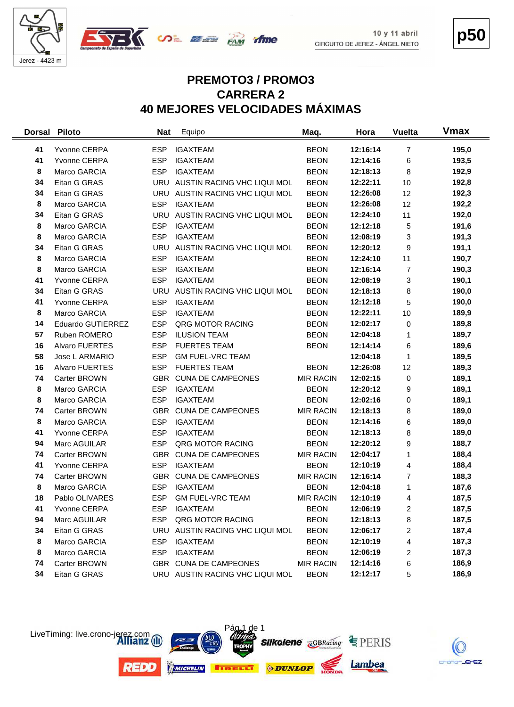

 $\frac{1}{2}$ 



 $10y11$  abril CIRCUITO DE JEREZ - ÁNGEL NIETO **p50**

## **PREMOTO3 / PROMO3 CARRERA 2 40 MEJORES VELOCIDADES MÁXIMAS**

| <b>Dorsal</b> | <b>Piloto</b>         | <b>Nat</b> | Equipo                          | Maq.             | Hora     | <b>Vuelta</b>  | <b>Vmax</b> |
|---------------|-----------------------|------------|---------------------------------|------------------|----------|----------------|-------------|
| 41            | Yvonne CERPA          | <b>ESP</b> | <b>IGAXTEAM</b>                 | <b>BEON</b>      | 12:16:14 | $\overline{7}$ | 195,0       |
| 41            | Yvonne CERPA          | <b>ESP</b> | <b>IGAXTEAM</b>                 | <b>BEON</b>      | 12:14:16 | 6              | 193,5       |
| 8             | Marco GARCIA          | <b>ESP</b> | <b>IGAXTEAM</b>                 | <b>BEON</b>      | 12:18:13 | 8              | 192,9       |
| 34            | Eitan G GRAS          | <b>URU</b> | AUSTIN RACING VHC LIQUI MOL     | <b>BEON</b>      | 12:22:11 | 10             | 192,8       |
| 34            | Eitan G GRAS          | URU        | AUSTIN RACING VHC LIQUI MOL     | <b>BEON</b>      | 12:26:08 | 12             | 192,3       |
| 8             | Marco GARCIA          | <b>ESP</b> | <b>IGAXTEAM</b>                 | <b>BEON</b>      | 12:26:08 | 12             | 192,2       |
| 34            | Eitan G GRAS          | URU        | AUSTIN RACING VHC LIQUI MOL     | <b>BEON</b>      | 12:24:10 | 11             | 192,0       |
| 8             | Marco GARCIA          | <b>ESP</b> | <b>IGAXTEAM</b>                 | <b>BEON</b>      | 12:12:18 | 5              | 191,6       |
| 8             | Marco GARCIA          | <b>ESP</b> | <b>IGAXTEAM</b>                 | <b>BEON</b>      | 12:08:19 | 3              | 191,3       |
| 34            | Eitan G GRAS          |            | URU AUSTIN RACING VHC LIQUI MOL | <b>BEON</b>      | 12:20:12 | 9              | 191,1       |
| 8             | Marco GARCIA          | <b>ESP</b> | <b>IGAXTEAM</b>                 | <b>BEON</b>      | 12:24:10 | 11             | 190,7       |
| 8             | Marco GARCIA          | <b>ESP</b> | <b>IGAXTEAM</b>                 | <b>BEON</b>      | 12:16:14 | 7              | 190,3       |
| 41            | Yvonne CERPA          | <b>ESP</b> | <b>IGAXTEAM</b>                 | <b>BEON</b>      | 12:08:19 | 3              | 190,1       |
| 34            | Eitan G GRAS          | URU        | AUSTIN RACING VHC LIQUI MOL     | <b>BEON</b>      | 12:18:13 | 8              | 190,0       |
| 41            | Yvonne CERPA          | <b>ESP</b> | <b>IGAXTEAM</b>                 | <b>BEON</b>      | 12:12:18 | 5              | 190,0       |
| 8             | Marco GARCIA          | <b>ESP</b> | <b>IGAXTEAM</b>                 | <b>BEON</b>      | 12:22:11 | 10             | 189,9       |
| 14            | Eduardo GUTIERREZ     | <b>ESP</b> | QRG MOTOR RACING                | <b>BEON</b>      | 12:02:17 | 0              | 189,8       |
| 57            | Ruben ROMERO          | <b>ESP</b> | <b>ILUSION TEAM</b>             | <b>BEON</b>      | 12:04:18 | $\mathbf{1}$   | 189,7       |
| 16            | <b>Alvaro FUERTES</b> | <b>ESP</b> | <b>FUERTES TEAM</b>             | <b>BEON</b>      | 12:14:14 | 6              | 189,6       |
| 58            | Jose L ARMARIO        | <b>ESP</b> | <b>GM FUEL-VRC TEAM</b>         |                  | 12:04:18 | $\mathbf{1}$   | 189,5       |
| 16            | <b>Alvaro FUERTES</b> | <b>ESP</b> | <b>FUERTES TEAM</b>             | <b>BEON</b>      | 12:26:08 | 12             | 189,3       |
| 74            | Carter BROWN          |            | GBR CUNA DE CAMPEONES           | <b>MIR RACIN</b> | 12:02:15 | 0              | 189,1       |
| 8             | Marco GARCIA          | <b>ESP</b> | <b>IGAXTEAM</b>                 | <b>BEON</b>      | 12:20:12 | 9              | 189,1       |
| 8             | Marco GARCIA          | <b>ESP</b> | <b>IGAXTEAM</b>                 | <b>BEON</b>      | 12:02:16 | 0              | 189,1       |
| 74            | Carter BROWN          | <b>GBR</b> | <b>CUNA DE CAMPEONES</b>        | <b>MIR RACIN</b> | 12:18:13 | 8              | 189,0       |
| 8             | Marco GARCIA          | <b>ESP</b> | <b>IGAXTEAM</b>                 | <b>BEON</b>      | 12:14:16 | 6              | 189,0       |
| 41            | Yvonne CERPA          | <b>ESP</b> | <b>IGAXTEAM</b>                 | <b>BEON</b>      | 12:18:13 | 8              | 189,0       |
| 94            | Marc AGUILAR          | <b>ESP</b> | QRG MOTOR RACING                | <b>BEON</b>      | 12:20:12 | 9              | 188,7       |
| 74            | Carter BROWN          | GBR        | <b>CUNA DE CAMPEONES</b>        | <b>MIR RACIN</b> | 12:04:17 | $\mathbf{1}$   | 188,4       |
| 41            | Yvonne CERPA          | <b>ESP</b> | <b>IGAXTEAM</b>                 | <b>BEON</b>      | 12:10:19 | 4              | 188,4       |
| 74            | Carter BROWN          | GBR        | <b>CUNA DE CAMPEONES</b>        | <b>MIR RACIN</b> | 12:16:14 | 7              | 188,3       |
| 8             | Marco GARCIA          | <b>ESP</b> | <b>IGAXTEAM</b>                 | <b>BEON</b>      | 12:04:18 | 1              | 187,6       |
| 18            | Pablo OLIVARES        | <b>ESP</b> | <b>GM FUEL-VRC TEAM</b>         | <b>MIR RACIN</b> | 12:10:19 | 4              | 187,5       |
| 41            | Yvonne CERPA          | ESP        | <b>IGAXTEAM</b>                 | <b>BEON</b>      | 12:06:19 | $\overline{c}$ | 187,5       |
| 94            | Marc AGUILAR          | <b>ESP</b> | QRG MOTOR RACING                | <b>BEON</b>      | 12:18:13 | 8              | 187,5       |
| 34            | Eitan G GRAS          |            | URU AUSTIN RACING VHC LIQUI MOL | <b>BEON</b>      | 12:06:17 | 2              | 187,4       |
| 8             | Marco GARCIA          | <b>ESP</b> | <b>IGAXTEAM</b>                 | <b>BEON</b>      | 12:10:19 | 4              | 187,3       |
| 8             | Marco GARCIA          | <b>ESP</b> | <b>IGAXTEAM</b>                 | <b>BEON</b>      | 12:06:19 | 2              | 187,3       |
| 74            | Carter BROWN          |            | GBR CUNA DE CAMPEONES           | <b>MIR RACIN</b> | 12:14:16 | 6              | 186,9       |
| 34            | Eitan G GRAS          |            | URU AUSTIN RACING VHC LIQUI MOL | <b>BEON</b>      | 12:12:17 | 5              | 186,9       |



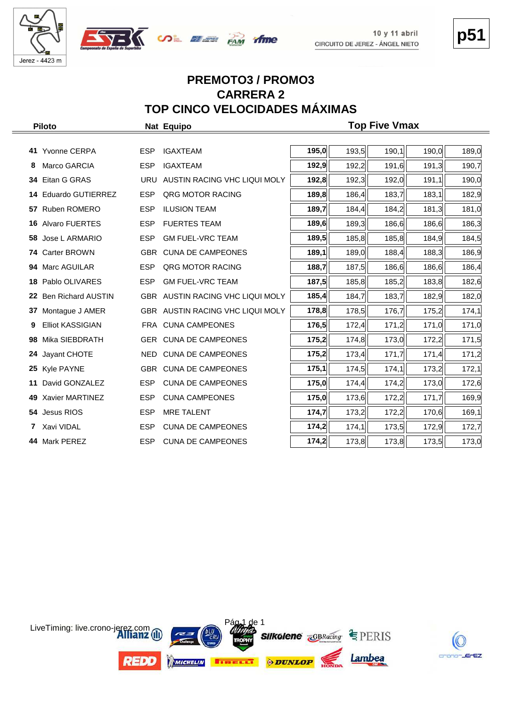



# **p51**

## **PREMOTO3 / PROMO3 CARRERA 2 TOP CINCO VELOCIDADES MÁXIMAS**

|    | <b>Piloto</b>            |            | Nat Equipo                       | <b>Top Five Vmax</b> |       |       |       |       |  |  |  |  |  |  |  |  |
|----|--------------------------|------------|----------------------------------|----------------------|-------|-------|-------|-------|--|--|--|--|--|--|--|--|
|    |                          |            |                                  |                      |       |       |       |       |  |  |  |  |  |  |  |  |
|    | 41 Yvonne CERPA          | <b>ESP</b> | <b>IGAXTEAM</b>                  | 195,0                | 193,5 | 190,1 | 190,0 | 189,0 |  |  |  |  |  |  |  |  |
| 8  | Marco GARCIA             | <b>ESP</b> | <b>IGAXTEAM</b>                  | 192,9                | 192,2 | 191,6 | 191,3 | 190,7 |  |  |  |  |  |  |  |  |
|    | 34 Eitan G GRAS          |            | URU AUSTIN RACING VHC LIQUI MOLY | 192,8                | 192,3 | 192,0 | 191,1 | 190,0 |  |  |  |  |  |  |  |  |
|    | 14 Eduardo GUTIERREZ     | <b>ESP</b> | QRG MOTOR RACING                 | 189,8                | 186,4 | 183,7 | 183,1 | 182,9 |  |  |  |  |  |  |  |  |
|    | 57 Ruben ROMERO          | <b>ESP</b> | <b>ILUSION TEAM</b>              | 189,7                | 184,4 | 184,2 | 181,3 | 181,0 |  |  |  |  |  |  |  |  |
|    | <b>16 Alvaro FUERTES</b> | <b>ESP</b> | <b>FUERTES TEAM</b>              | 189,6                | 189,3 | 186,6 | 186,6 | 186,3 |  |  |  |  |  |  |  |  |
|    | 58 Jose L ARMARIO        | <b>ESP</b> | <b>GM FUEL-VRC TEAM</b>          | 189,5                | 185,8 | 185,8 | 184,9 | 184,5 |  |  |  |  |  |  |  |  |
|    | 74 Carter BROWN          |            | GBR CUNA DE CAMPEONES            | 189,1                | 189,0 | 188,4 | 188,3 | 186,9 |  |  |  |  |  |  |  |  |
|    | 94 Marc AGUILAR          | <b>ESP</b> | QRG MOTOR RACING                 | 188,7                | 187,5 | 186,6 | 186,6 | 186,4 |  |  |  |  |  |  |  |  |
|    | 18 Pablo OLIVARES        | <b>ESP</b> | <b>GM FUEL-VRC TEAM</b>          | 187,5                | 185,8 | 185,2 | 183,8 | 182,6 |  |  |  |  |  |  |  |  |
|    | 22 Ben Richard AUSTIN    |            | GBR AUSTIN RACING VHC LIQUI MOLY | 185,4                | 184,7 | 183,7 | 182,9 | 182,0 |  |  |  |  |  |  |  |  |
| 37 | Montague J AMER          |            | GBR AUSTIN RACING VHC LIQUI MOLY | 178,8                | 178,5 | 176,7 | 175,2 | 174,1 |  |  |  |  |  |  |  |  |
| 9  | <b>Elliot KASSIGIAN</b>  |            | FRA CUNA CAMPEONES               | 176,5                | 172,4 | 171,2 | 171,0 | 171,0 |  |  |  |  |  |  |  |  |
| 98 | Mika SIEBDRATH           |            | GER CUNA DE CAMPEONES            | 175,2                | 174,8 | 173,0 | 172,2 | 171,5 |  |  |  |  |  |  |  |  |
| 24 | Jayant CHOTE             | NED        | <b>CUNA DE CAMPEONES</b>         | 175,2                | 173,4 | 171,7 | 171,4 | 171,2 |  |  |  |  |  |  |  |  |
|    | 25 Kyle PAYNE            |            | GBR CUNA DE CAMPEONES            | 175,1                | 174,5 | 174,1 | 173,2 | 172,1 |  |  |  |  |  |  |  |  |
| 11 | David GONZALEZ           | <b>ESP</b> | <b>CUNA DE CAMPEONES</b>         | 175,0                | 174,4 | 174,2 | 173,0 | 172,6 |  |  |  |  |  |  |  |  |
|    | 49 Xavier MARTINEZ       | <b>ESP</b> | <b>CUNA CAMPEONES</b>            | 175,0                | 173,6 | 172,2 | 171,7 | 169,9 |  |  |  |  |  |  |  |  |
|    | 54 Jesus RIOS            | <b>ESP</b> | <b>MRE TALENT</b>                | 174,7                | 173,2 | 172,2 | 170,6 | 169,1 |  |  |  |  |  |  |  |  |
|    | 7 Xavi VIDAL             | <b>ESP</b> | <b>CUNA DE CAMPEONES</b>         | 174,2                | 174,1 | 173,5 | 172,9 | 172,7 |  |  |  |  |  |  |  |  |
|    | 44 Mark PEREZ            | <b>ESP</b> | <b>CUNA DE CAMPEONES</b>         | 174,2                | 173,8 | 173,8 | 173,5 | 173,0 |  |  |  |  |  |  |  |  |